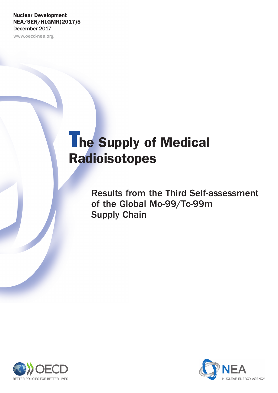# Nuclear Development NEA/SEN/HLGMR(2017)5 December 2017

www.oecd-nea.org

# The Supply of Medical Radioisotopes

Results from the Third Self-assessment of the Global Mo-99/Tc-99m Supply Chain



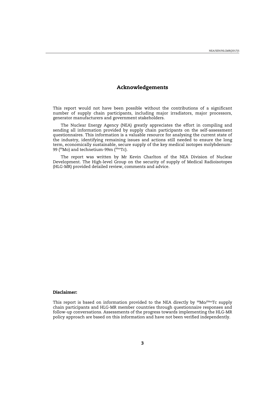# **Acknowledgements**

This report would not have been possible without the contributions of a significant number of supply chain participants, including major irradiators, major processors, generator manufacturers and government stakeholders.

The Nuclear Energy Agency (NEA) greatly appreciates the effort in compiling and sending all information provided by supply chain participants on the self-assessment questionnaires. This information is a valuable resource for analysing the current state of the industry, identifying remaining issues and actions still needed to ensure the long term, economically sustainable, secure supply of the key medical isotopes molybdenum-99 (<sup>99</sup>Mo) and technetium-99m (<sup>99m</sup>Tc).

The report was written by Mr Kevin Charlton of the NEA Division of Nuclear Development. The High-level Group on the security of supply of Medical Radioisotopes (HLG-MR) provided detailed review, comments and advice.

#### **Disclaimer:**

This report is based on information provided to the NEA directly by  $99\,\text{Mo}/99\text{mTc}$  supply chain participants and HLG-MR member countries through questionnaire responses and follow-up conversations. Assessments of the progress towards implementing the HLG-MR policy approach are based on this information and have not been verified independently.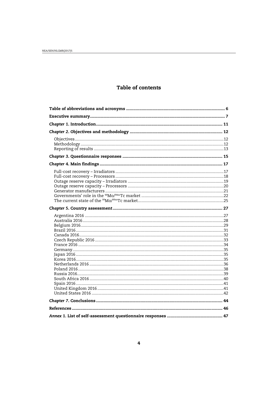# Table of contents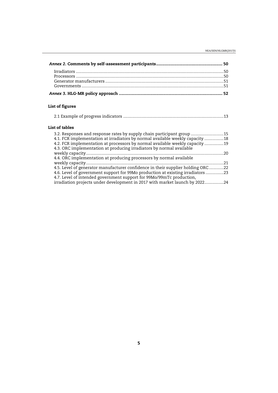| List of figures                                                                                                                                       |  |
|-------------------------------------------------------------------------------------------------------------------------------------------------------|--|
|                                                                                                                                                       |  |
| List of tables                                                                                                                                        |  |
| 3.2. Responses and response rates by supply chain participant group  15                                                                               |  |
| 4.1. FCR implementation at irradiators by normal available weekly capacity 18                                                                         |  |
| 4.2. FCR implementation at processors by normal available weekly capacity  19<br>4.3. ORC implementation at producing irradiators by normal available |  |
|                                                                                                                                                       |  |
| 4.4. ORC implementation at producing processors by normal available                                                                                   |  |
|                                                                                                                                                       |  |
| 4.5. Level of generator manufacturer confidence in their supplier holding ORC22                                                                       |  |
| 4.6. Level of government support for 99Mo production at existing irradiators 23                                                                       |  |
| 4.7. Level of intended government support for 99Mo/99mTc production,                                                                                  |  |
| irradiation projects under development in 2017 with market launch by 202224                                                                           |  |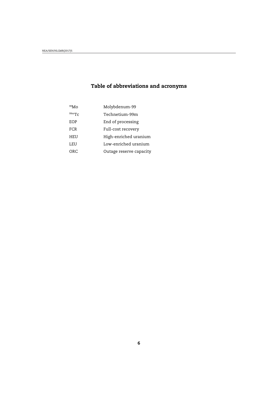# <span id="page-4-0"></span>**Table of abbreviations and acronyms**

| $99$ Mo | Molybdenum-99           |
|---------|-------------------------|
| 99mTc   | Technetium-99m          |
| EOP     | End of processing       |
| FCR     | Full-cost recovery      |
| HEU     | High-enriched uranium   |
| LEU     | Low-enriched uranium    |
| ORC     | Outage reserve capacity |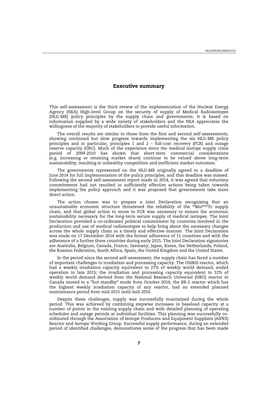# **Executive summary**

<span id="page-5-0"></span>This self-assessment is the third review of the implementation of the Nuclear Energy Agency (NEA) High-level Group on the security of supply of Medical Radioisotopes (HLG-MR) policy principles by the supply chain and governments. It is based on information supplied by a wide variety of stakeholders and the NEA appreciates the willingness of the majority of stakeholders to provide useful information.

The overall results are similar to those from the first and second self-assessments, showing continued but slow progress towards implementing the six HLG-MR policy principles and in particular, principles 1 and 2 – full-cost recovery (FCR) and outage reserve capacity (ORC). Much of the experience since the medical isotope supply crisis period of 2009-2010 has shown that short-term commercial considerations (e.g. increasing or retaining market share) continue to be valued above long-term sustainability, resulting in unhealthy competition and inefficient market outcomes.

The governments represented on the HLG-MR originally agreed to a deadline of June 2014 for full implementation of the policy principles, and that deadline was missed. Following the second self-assessment report made in 2014, it was agreed that voluntary commitments had not resulted in sufficiently effective actions being taken towards implementing the policy approach and it was proposed that governments take more direct action.

The action chosen was to prepare a Joint Declaration recognising that an unsustainable economic structure threatened the reliability of the <sup>99</sup>Mo/<sup>99m</sup>Tc supply chain, and that global action to move to FCR was necessary to ensure the economic sustainability necessary for the long-term secure supply of medical isotopes. The Joint Declaration provided a co-ordinated political commitment by countries involved in the production and use of medical radioisotopes to help bring about the necessary changes across the whole supply chain in a timely and effective manner. The Joint Declaration was made on 17 December 2014 with the formal adherence of 11 countries and with the adherence of a further three countries during early 2015. The Joint Declaration signatories are Australia, Belgium, Canada, France, Germany, Japan, Korea, the Netherlands, Poland, the Russian Federation, South Africa, Spain, the United Kingdom and the United States.

In the period since the second self-assessment, the supply chain has faced a number of important challenges to irradiation and processing capacity. The OSIRIS reactor, which had a weekly irradiation capacity equivalent to 27% of weekly world demand, ended operation in late 2015; the irradiation and processing capacity equivalent to 52% of weekly world demand derived from the National Research Universal (NRU) reactor in Canada moved to a "hot standby" mode from October 2016; the BR-2 reactor which has the highest weekly irradiation capacity of any reactor, had an extended planned maintenance period from mid-2015 until mid-2016.

Despite these challenges, supply was successfully maintained during the whole period. This was achieved by combining stepwise increases in baseload capacity at a number of points in the existing supply chain and with detailed planning of operating schedules and outage periods at individual facilities. This planning was successfully coordinated through the Association of Isotope Producers and Equipment Suppliers (AIPES) Reactor and Isotope Working Group. Successful supply performance, during an extended period of identified challenges, demonstrates some of the progress that has been made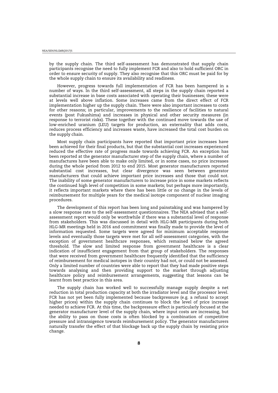by the supply chain. The third self-assessment has demonstrated that supply chain participants recognise the need to fully implement FCR and also to hold sufficient ORC in order to ensure security of supply. They also recognise that this ORC must be paid for by the whole supply chain to ensure its availability and readiness.

However, progress towards full implementation of FCR has been hampered in a number of ways. In the third self-assessment, all steps in the supply chain reported a substantial increase in base costs associated with operating their businesses; these were at levels well above inflation. Some increases came from the direct effect of FCR implementation higher up the supply chain. There were also important increases to costs for other reasons; in particular, improvements to the resilience of facilities to natural events (post Fukushima) and increases in physical and other security measures (in response to terrorist risks). These together with the continued move towards the use of low-enriched uranium (LEU) targets for production, an externality that adds costs, reduces process efficiency and increases waste, have increased the total cost burden on the supply chain.

Most supply chain participants have reported that important price increases have been achieved for their final products, but that the substantial cost increases experienced reduced the effective rate of progress made towards achieving FCR. An exception has been reported at the generator manufacturer step of the supply chain, where a number of manufactures have been able to make only limited, or in some cases, no price increases during the whole period from 2012 to end 2015. Most generator manufacturers reported substantial cost increases, but clear divergence was seen between generator manufacturers that could achieve important price increases and those that could not. The inability of some generator manufacturers to increase price in some markets reflects the continued high level of competition in some markets; but perhaps more importantly, it reflects important markets where there has been little or no change in the levels of reimbursement for multiple years for the medical isotope component of nuclear imaging procedures.

The development of this report has been long and painstaking and was hampered by a slow response rate to the self-assessment questionnaires. The NEA advised that a selfassessment report would only be worthwhile if there was a substantial level of response from stakeholders. This was discussed in detail with HLG-MR participants during both HLG-MR meetings held in 2016 and commitment was finally made to provide the level of information requested. Some targets were agreed for minimum acceptable response levels and eventually those targets were met for all self-assessment categories, with the exception of government healthcare responses, which remained below the agreed threshold. The slow and limited response from government healthcare is a clear indication of insufficient engagement from that group of stakeholders. The responses that were received from government healthcare frequently identified that the sufficiency of reimbursement for medical isotopes in their country had not, or could not be assessed. Only a limited number of countries were able to report that they had made positive steps towards analysing and then providing support to the market through adjusting healthcare policy and reimbursement arrangements, suggesting that lessons can be learnt from best practice in this area.

The supply chain has worked well to successfully manage supply despite a net reduction in total production capacity at both the irradiator level and the processor level. FCR has not yet been fully implemented because backpressure (e.g. a refusal to accept higher prices) within the supply chain continues to block the level of price increase needed to achieve FCR. At this time, the backpressure effect is particularly focused at the generator manufacturer level of the supply chain, where input costs are increasing, but the ability to pass on those costs is often blocked by a combination of competitive pressure and intransigence towards reimbursement policy. The generator manufacturers naturally transfer the effect of that blockage back up the supply chain by resisting price change.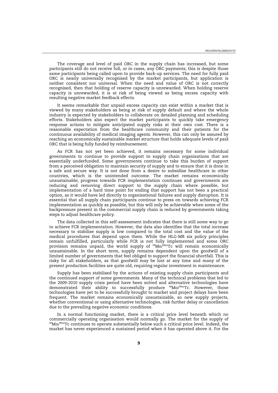The coverage and level of paid ORC in the supply chain has increased, but some participants still do not receive full, or in cases, any ORC payments; this is despite those same participants being called upon to provide back-up services. The need for fully paid ORC is nearly universally recognised by the market participants, but application is neither consistent nor universal. When the need and value of ORC is not correctly recognised, then that holding of reserve capacity is unrewarded. When holding reserve capacity is unrewarded, it is at risk of being viewed as being excess capacity with resulting negative market feedback effects.

It seems remarkable that unpaid excess capacity can exist within a market that is viewed by many stakeholders as being at risk of supply default and where the whole industry is expected by stakeholders to collaborate on detailed planning and scheduling efforts. Stakeholders also expect the market participants to quickly take emergency response actions to mitigate anticipated supply risks at their own cost. There is a reasonable expectation from the healthcare community and their patients for the continuous availability of medical imaging agents. However, this can only be assured by reaching an economically sustainable market structure that holds adequate levels of paid ORC that is being fully funded by reimbursement.

As FCR has not yet been achieved, it remains necessary for some individual governments to continue to provide support to supply chain organisations that are essentially underfunded. Some governments continue to take this burden of support from a perceived obligation to maintain security of supply and to ensure that it is done in a safe and secure way. It is not done from a desire to subsidise healthcare in other countries, which is the unintended outcome. The market remains economically unsustainable; progress towards FCR implementation continues and governments are reducing and removing direct support to the supply chain where possible, but implementation of a hard time point for ending that support has not been a practical option, as it would have led directly to organisational failures and supply disruption. It is essential that all supply chain participants continue to press on towards achieving FCR implementation as quickly as possible, but this will only be achievable when some of the backpressure present in the commercial supply chain is reduced by governments taking steps to adjust healthcare policy.

The data collected in this self-assessment indicates that there is still some way to go to achieve FCR implementation. However, the data also identifies that the total increase necessary to stabilise supply is low compared to the total cost and the value of the medical procedures that depend upon them. While the HLG-MR six policy principles remain unfulfilled, particularly while FCR is not fully implemented and some ORC provision remains unpaid, the world supply of  $^{99}\text{Mo}/^{99\text{m}}$ Tc will remain economically unsustainable. In the short term, supply remains dependent upon the goodwill of a limited number of governments that feel obliged to support the financial shortfall. This is risky for all stakeholders, as that goodwill may be lost at any time and many of the present production facilities are quite old, requiring regular investment in maintenance.

Supply has been stabilised by the actions of existing supply chain participants and the continued support of some governments. Many of the technical problems that led to the 2009-2010 supply crisis period have been solved and alternative technologies have demonstrated their ability to successfully produce <sup>99</sup>Mo/<sup>99m</sup>Tc. However, those technologies have yet to be successfully brought to market and project delays have been frequent. The market remains economically unsustainable, so new supply projects, whether conventional or using alternative technologies, risk further delay or cancellation due to the prevailing negative economic conditions.

In a normal functioning market, there is a critical price level beneath which no commercially operating organisation would normally go. The market for the supply of 99Mo/99mTc continues to operate substantially below such a critical price level. Indeed, the market has never experienced a sustained period when it has operated above it. For the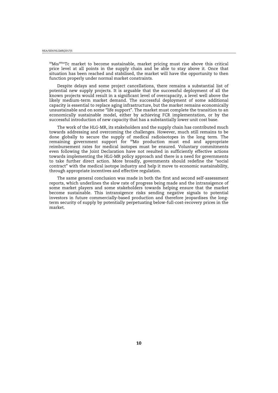#### NEA/SEN/HLGMR(2017)5

 $99Mo/99mTc$  market to become sustainable, market pricing must rise above this critical price level at all points in the supply chain and be able to stay above it. Once that situation has been reached and stabilised, the market will have the opportunity to then function properly under normal market constraints.

Despite delays and some project cancellations, there remains a substantial list of potential new supply projects. It is arguable that the successful deployment of all the known projects would result in a significant level of overcapacity, a level well above the likely medium-term market demand. The successful deployment of some additional capacity is essential to replace aging infrastructure, but the market remains economically unsustainable and on some "life support". The market must complete the transition to an economically sustainable model, either by achieving FCR implementation, or by the successful introduction of new capacity that has a substantially lower unit cost base.

The work of the HLG-MR, its stakeholders and the supply chain has contributed much towards addressing and overcoming the challenges. However, much still remains to be done globally to secure the supply of medical radioisotopes in the long term. The remaining government support for <sup>99</sup>Mo production must end and appropriate reimbursement rates for medical isotopes must be ensured. Voluntary commitments even following the Joint Declaration have not resulted in sufficiently effective actions towards implementing the HLG-MR policy approach and there is a need for governments to take further direct action. More broadly, governments should redefine the "social contract" with the medical isotope industry and help it move to economic sustainability, through appropriate incentives and effective regulation.

The same general conclusion was made in both the first and second self-assessment reports, which underlines the slow rate of progress being made and the intransigence of some market players and some stakeholders towards helping ensure that the market become sustainable. This intransigence risks sending negative signals to potential investors in future commercially-based production and therefore jeopardises the longterm security of supply by potentially perpetuating below-full-cost-recovery prices in the market.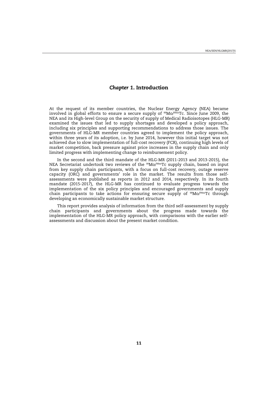# *Chapter 1***. Introduction**

<span id="page-9-0"></span>At the request of its member countries, the Nuclear Energy Agency (NEA) became involved in global efforts to ensure a secure supply of  $99M\text{o}/99mTc$ . Since June 2009, the NEA and its High-level Group on the security of supply of Medical Radioisotopes (HLG-MR) examined the issues that led to supply shortages and developed a policy approach, including six principles and supporting recommendations to address those issues. The governments of HLG-MR member countries agreed to implement the policy approach, within three years of its adoption, i.e. by June 2014, however this initial target was not achieved due to slow implementation of full-cost recovery (FCR), continuing high levels of market competition, back pressure against price increases in the supply chain and only limited progress with implementing change to reimbursement policy.

In the second and the third mandate of the HLG-MR (2011-2013 and 2013-2015), the NEA Secretariat undertook two reviews of the 99Mo/99mTc supply chain, based on input from key supply chain participants, with a focus on full-cost recovery, outage reserve capacity (ORC) and governments' role in the market. The results from those selfassessments were published as reports in 2012 and 2014, respectively. In its fourth mandate (2015-2017), the HLG-MR has continued to evaluate progress towards the implementation of the six policy principles and encouraged governments and supply chain participants to take actions for ensuring secure supply of <sup>99</sup>Mo/<sup>99m</sup>Tc through developing an economically sustainable market structure.

This report provides analysis of information from the third self-assessment by supply chain participants and governments about the progress made towards the implementation of the HLG-MR policy approach, with comparisons with the earlier selfassessments and discussion about the present market condition.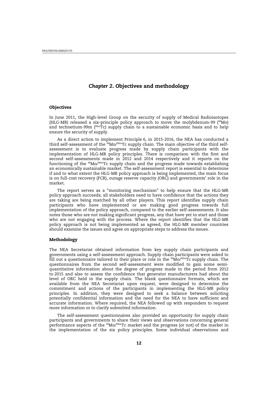# *Chapter 2***. Objectives and methodology**

#### <span id="page-10-0"></span>**Objectives**

In June 2011, the High-level Group on the security of supply of Medical Radioisotopes (HLG-MR) released a six-principle policy approach to move the molybdenum-99 ( $^{99}$ Mo) and technetium-99m  $(99m)$ Tc) supply chain to a sustainable economic basis and to help ensure the security of supply.

As a direct action to implement Principle 6, in 2015-2016, the NEA has conducted a third self-assessment of the 99Mo/99mTc supply chain. The main objective of the third selfassessment is to evaluate progress made by supply chain participants with the implementation of HLG-MR policy principles. There is comparison with the first and second self-assessments made in 2012 and 2014 respectively and it reports on the functioning of the 99Mo/99mTc supply chain and the progress made towards establishing an economically sustainable market. The self-assessment report is essential to determine if and to what extent the HLG-MR policy approach is being implemented, the main focus is on full-cost recovery (FCR), outage reserve capacity (ORC) and governments' role in the market.

The report serves as a "monitoring mechanism" to help ensure that the HLG-MR policy approach succeeds; all stakeholders need to have confidence that the actions they are taking are being matched by all other players. This report identifies supply chain participants who have implemented or are making good progress towards full implementation of the policy approach, compared to the earlier self-assessments. It also notes those who are not making significant progress, any that have yet to start and those who are not engaging with the process. Where the report identifies that the HLG-MR policy approach is not being implemented as agreed, the HLG-MR member countries should examine the issues and agree on appropriate steps to address the issues.

#### **Methodology**

The NEA Secretariat obtained information from key supply chain participants and governments using a self-assessment approach. Supply chain participants were asked to fill out a questionnaire tailored to their place or role in the  $99M_0/99mTc$  supply chain. The questionnaires from the second self-assessment were modified to gain some semiquantitative information about the degree of progress made in the period from 2012 to 2015 and also to assess the confidence that generator manufacturers had about the level of ORC held in the supply chain. The blank questionnaire formats, which are available from the NEA Secretariat upon request, were designed to determine the commitment and actions of the participants in implementing the HLG-MR policy principles. In addition, they were designed to seek a balance between soliciting potentially confidential information and the need for the NEA to have sufficient and accurate information. Where required, the NEA followed up with responders to request more information or to clarify submitted information.

The self-assessment questionnaires also provided an opportunity for supply chain participants and governments to share their views and observations concerning general performance aspects of the <sup>99</sup>Mo/<sup>99m</sup>Tc market and the progress (or not) of the market in the implementation of the six policy principles. Some individual observations and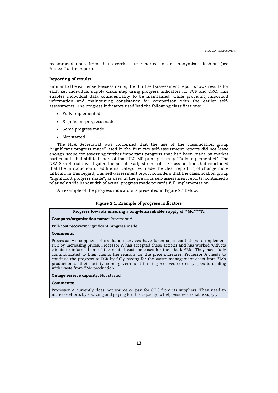<span id="page-11-0"></span>recommendations from that exercise are reported in an anonymised fashion (see Annex 2 of the report).

## **Reporting of results**

Similar to the earlier self-assessments, the third self-assessment report shows results for each key individual supply chain step using progress indicators for FCR and ORC. This enables individual data confidentiality to be maintained, while providing important information and maintaining consistency for comparison with the earlier selfassessments. The progress indicators used had the following classifications:

- Fully implemented
- Significant progress made
- Some progress made
- x Not started

The NEA Secretariat was concerned that the use of the classification group "Significant progress made" used in the first two self-assessment reports did not leave enough scope for assessing further important progress that had been made by market participants, but still fell short of that HLG-MR principle being "Fully implemented". The NEA Secretariat investigated the possible adjustment of the classifications but concluded that the introduction of additional categories made the clear reporting of change more difficult. In this regard, this self-assessment report considers that the classification group "Significant progress made", as used in the previous self-assessment reports, contained a relatively wide bandwidth of actual progress made towards full implementation.

An example of the progress indicators is presented in Figure 2.1 below.

# **Figure 2.1. Example of progress indicators**

# **Progress towards ensuring a long-term reliable supply of 99Mo/99mTc**

**Company/organisation name:** Processor A

**Full-cost recovery:** Significant progress made

#### **Comments:**

Processor A's suppliers of irradiation services have taken significant steps to implement FCR by increasing prices. Processor A has accepted these actions and has worked with its clients to inform them of the related cost increases for their bulk <sup>99</sup>Mo. They have fully communicated to their clients the reasons for the price increases. Processor A needs to continue the progress to FCR by fully paying for the waste management costs from 99Mo production at their facility; some government funding received currently goes to dealing with waste from <sup>99</sup>Mo production.

**Outage reserve capacity:** Not started

#### **Comments:**

Processor A currently does not source or pay for ORC from its suppliers. They need to increase efforts by sourcing and paying for this capacity to help ensure a reliable supply.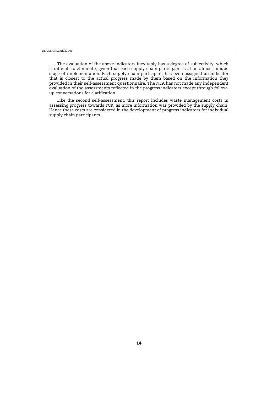The evaluation of the above indicators inevitably has a degree of subjectivity, which is difficult to eliminate, given that each supply chain participant is at an almost unique stage of implementation. Each supply chain participant has been assigned an indicator that is closest to the actual progress made by them based on the information they provided in their self-assessment questionnaire. The NEA has not made any independent evaluation of the assessments reflected in the progress indicators except through followup conversations for clarification.

Like the second self-assessment, this report includes waste management costs in assessing progress towards FCR, as more information was provided by the supply chain. Hence these costs are considered in the development of progress indicators for individual supply chain participants.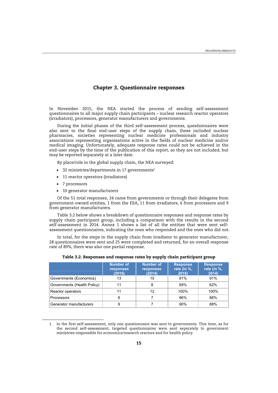## *Chapter 3***. Questionnaire responses**

<span id="page-13-0"></span>In November 2015, the NEA started the process of sending self-assessment questionnaires to all major supply chain participants – nuclear research reactor operators (irradiators), processors, generator manufacturers and governments.

During the initial phases of the third self-assessment process, questionnaires were also sent to the final end-user steps of the supply chain, these included nuclear pharmacies, societies representing nuclear medicine professionals and industry associations representing organisations active in the fields of nuclear medicine and/or medical imaging. Unfortunately, adequate response rates could not be achieved in the end-user steps by the time of the publication of this report, so they are not included, but may be reported separately at a later date.

By place/role in the global supply chain, the NEA surveyed:

- $\bullet$  32 ministries/departments in 17 governments<sup>1</sup>
- 11 reactor operators (irradiators)
- 7 processors

• 10 generator manufacturers

Of the 51 total responses, 24 came from governments or through their delegates from government-owned entities, 1 from the ESA, 11 from irradiators, 6 from processors and 9 from generator manufacturers.

Table 3.2 below shows a breakdown of questionnaire responses and response rates by supply chain participant group, including a comparison with the results in the second self-assessment in 2014. Annex 1 shows a list of all the entities that were sent selfassessment questionnaires, indicating the ones who responded and the ones who did not.

In total, for the steps in the supply chain from irradiator to generator manufacturer, 28 questionnaires were sent and 25 were completed and returned, for an overall response rate of 89%; there was also one partial response.

|                             | <b>Number of</b><br>responses<br>(2016) | <b>Number of</b><br>responses<br>(2014) | <b>Response</b><br>rate (in %,<br>2016) | <b>Response</b><br>rate (in %,<br>2014) |
|-----------------------------|-----------------------------------------|-----------------------------------------|-----------------------------------------|-----------------------------------------|
| Governments (Economics)     | 13                                      | 10                                      | 81%                                     | 91%                                     |
| Governments (Health Policy) |                                         | 8                                       | 69%                                     | 62%                                     |
| Reactor operators           |                                         | 12                                      | 100%                                    | 100%                                    |
| <b>Processors</b>           | 6                                       |                                         | 86%                                     | 88%                                     |
| Generator manufacturers     | 9                                       |                                         | 90%                                     | 88%                                     |

| Table 3.2. Responses and response rates by supply chain participant group |  |  |  |
|---------------------------------------------------------------------------|--|--|--|
|---------------------------------------------------------------------------|--|--|--|

<sup>1.</sup> In the first self-assessment, only one questionnaire was sent to governments. This time, as for the second self-assessment, targeted questionnaires were sent separately to government ministries responsible for economics/research reactors and for health policy.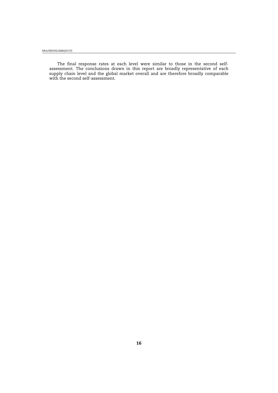The final response rates at each level were similar to those in the second selfassessment. The conclusions drawn in this report are broadly representative of each supply chain level and the global market overall and are therefore broadly comparable with the second self-assessment.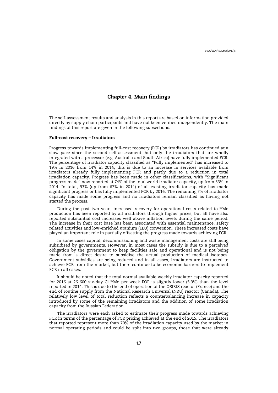# *Chapter 4***. Main findings**

<span id="page-15-0"></span>The self-assessment results and analysis in this report are based on information provided directly by supply chain participants and have not been verified independently. The main findings of this report are given in the following subsections.

#### **Full-cost recovery – Irradiators**

Progress towards implementing full-cost recovery (FCR) by irradiators has continued at a slow pace since the second self-assessment, but only the irradiators that are wholly integrated with a processor (e.g. Australia and South Africa) have fully implemented FCR. The percentage of irradiator capacity classified as "Fully implemented" has increased to 19% in 2016 from 14% in 2014; this is due to an increase in services available from irradiators already fully implementing FCR and partly due to a reduction in total irradiation capacity. Progress has been made in other classifications, with "Significant progress made" now reported at 74% of the total world irradiator capacity, up from 53% in 2014. In total, 93% (up from 67% in 2014) of all existing irradiator capacity has made significant progress or has fully implemented FCR by 2016. The remaining 7% of irradiator capacity has made some progress and no irradiators remain classified as having not started the process.

During the past two years increased recovery for operational costs related to <sup>99</sup>Mo production has been reported by all irradiators through higher prices, but all have also reported substantial cost increases well above inflation levels during the same period. The increase in their cost base has been associated with essential maintenance, safety related activities and low-enriched uranium (LEU) conversion. These increased costs have played an important role in partially offsetting the progress made towards achieving FCR.

In some cases capital, decommissioning and waste management costs are still being subsidised by governments. However, in most cases the subsidy is due to a perceived obligation by the government to keep facilities safe and operational and is not being made from a direct desire to subsidise the actual production of medical isotopes. Government subsidies are being reduced and in all cases, irradiators are instructed to achieve FCR from the market, but there continue to be economic barriers to implement FCR in all cases.

It should be noted that the total normal available weekly irradiator capacity reported for 2016 at 26 600 six-day Ci  $^{99}$ Mo per week EOP is slightly lower (5.9%) than the level reported in 2014. This is due to the end of operation of the OSIRIS reactor (France) and the end of routine supply from the National Research Universal (NRU) reactor (Canada). The relatively low level of total reduction reflects a counterbalancing increase in capacity introduced by some of the remaining irradiators and the addition of some irradiation capacity from the Russian Federation.

The irradiators were each asked to estimate their progress made towards achieving FCR in terms of the percentage of FCR pricing achieved at the end of 2015. The irradiators that reported represent more than 70% of the irradiation capacity used by the market in normal operating periods and could be split into two groups, those that were already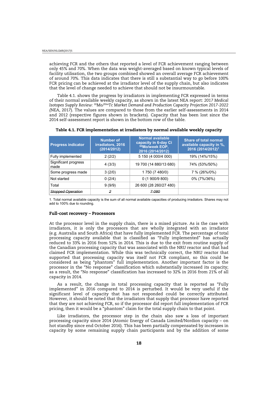<span id="page-16-0"></span>achieving FCR and the others that reported a level of FCR achievement ranging between only 45% and 70%. When the data was weight-averaged based on known typical levels of facility utilisation, the two groups combined showed an overall average FCR achievement of around 70%. This data indicates that there is still a substantial way to go before 100% FCR pricing can be achieved at the irradiator level of the supply chain, but also indicates that the level of change needed to achieve that should not be insurmountable.

Table 4.1. shows the progress by irradiators in implementing FCR expressed in terms of their normal available weekly capacity, as shown in the latest NEA report: *2017 Medical Isotopes Supply Review: 99Mo/99mTc Market Demand and Production Capacity Projection 2017-2022 (*NEA, 2017). The values are compared to those from the earlier self-assessments in 2014 and 2012 (respective figures shown in brackets). Capacity that has been lost since the 2014 self-assessment report is shown in the bottom row of the table.

| <b>Progress indicator</b>    | <b>Number of</b><br>irradiators, 2016<br>(2014/2012) | <b>Normal available</b><br>capacity in 6-day Ci<br>99Mo/week EOP,<br>2016 (2014/2012) | <b>Share of total normal</b><br>available capacity in %.<br>2016 (2014/2012) <sup>1</sup> |
|------------------------------|------------------------------------------------------|---------------------------------------------------------------------------------------|-------------------------------------------------------------------------------------------|
| Fully implemented            | 2(2/2)                                               | 5 150 (4 000/4 000)                                                                   | 19% (14%/15%)                                                                             |
| Significant progress<br>made | 4(3/3)                                               | 19 700 (14 880/13 680)                                                                | 74% (53%/50%)                                                                             |
| Some progress made           | 3(2/0)                                               | 1750 (7480/0)                                                                         | 7 % (26%/0%)                                                                              |
| Not started                  | 0(2/4)                                               | 0(1900/9800)                                                                          | 0% (7%/36%)                                                                               |
| Total                        | 9(9/9)                                               | 26 600 (28 260/27 480)                                                                |                                                                                           |
| <b>Stopped Operation</b>     | 2                                                    | 7-080                                                                                 |                                                                                           |

**Table 4.1. FCR implementation at irradiators by normal available weekly capacity** 

1. Total normal available capacity is the sum of all normal available capacities of producing irradiators. Shares may not add to 100% due to rounding.

#### **Full-cost recovery – Processors**

At the processor level in the supply chain, there is a mixed picture. As is the case with irradiators, it is only the processors that are wholly integrated with an irradiator (e.g. Australia and South Africa) that have fully implemented FCR. The percentage of total processing capacity available that is classified as "Fully implemented" has actually reduced to 33% in 2016 from 52% in 2014. This is due to the exit from routine supply of the Canadian processing capacity that was associated with the NRU reactor and that had claimed FCR implementation. While this was technically correct, the NRU reactor that supported that processing capacity was itself not FCR compliant, so this could be considered as being "phantom" full implementation. Another important factor is the processor in the "No response" classification which substantially increased its capacity; as a result, the "No response" classification has increased to 32% in 2016 from 21% of all capacity in 2014.

As a result, the change in total processing capacity that is reported as "Fully implemented" in 2016 compared to 2014 is perturbed. It would be very useful if the significant level of capacity that has not responded could be correctly attributed. However, it should be noted that the irradiators that supply that processor have reported that they are not achieving FCR, so if the processor did report full implementation of FCR pricing, then it would be a "phantom" claim for the total supply chain to that point.

Like irradiators, the processor step in the chain also saw a loss of important processing capacity since 2014 (Atomic Energy of Canada Limited/Nordion capacity – on hot standby since end October 2016). This has been partially compensated by increases in capacity by some remaining supply chain participants and by the addition of some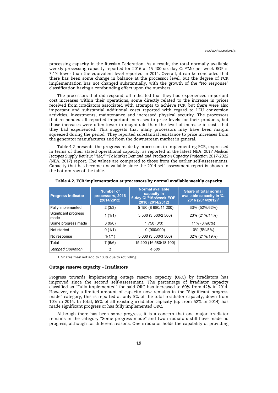<span id="page-17-0"></span>processing capacity in the Russian Federation. As a result, the total normally available weekly processing capacity reported for 2016 at 15 400 six-day Ci <sup>99</sup>Mo per week EOP is 7.1% lower than the equivalent level reported in 2014. Overall, it can be concluded that there has been some change in balance at the processor level, but the degree of FCR implementation has not changed substantially, with the growth of the "No response" classification having a confounding effect upon the numbers.

The processors that did respond, all indicated that they had experienced important cost increases within their operations, some directly related to the increase in prices received from irradiators associated with attempts to achieve FCR, but there were also important and substantial additional costs reported with regard to LEU conversion activities, investments, maintenance and increased physical security. The processors that responded all reported important increases to price levels for their products, but those increases were often lower in magnitude than the level of increase in costs that they had experienced. This suggests that many processors may have been margin squeezed during the period. They reported substantial resistance to price increases from the generator manufactures and from the downstream market in general.

Table 4.2 presents the progress made by processors in implementing FCR, expressed in terms of their stated operational capacity, as reported in the latest NEA*: 2017 Medical Isotopes Supply Review: 99Mo/99mTc Market Demand and Production Capacity Projection 2017-2022 (*NEA, 2017) report*.* The values are compared to those from the earlier self-assessments. Capacity that has become unavailable since the 2014 self-assessment report is shown in the bottom row of the table.

| <b>Progress indicator</b>    | <b>Number of</b><br>processors, 2016<br>(2014/2012) | <b>Normal available</b><br>capacity in<br>6-day Ci <sup>99</sup> Mo/week EOP,<br>2016 (2014/2012) | <b>Share of total normal</b><br>available capacity in %.<br>2016 (2014/2012) <sup>1</sup> |
|------------------------------|-----------------------------------------------------|---------------------------------------------------------------------------------------------------|-------------------------------------------------------------------------------------------|
| Fully implemented            | 2(3/3)                                              | 5 150 (8 680/11 200)                                                                              | 33% (52%/62%)                                                                             |
| Significant progress<br>made | 1(1/1)                                              | 3 500 (3 500/2 500)                                                                               | 23% (21%/14%)                                                                             |
| Some progress made           | 3(0/0)                                              | 1 750 (0/0)                                                                                       | 11% (0%/0%)                                                                               |
| Not started                  | 0(1/1)                                              | 0(900/900)                                                                                        | 0% (5%/5%)                                                                                |
| No response                  | 1(1/1)                                              | 5 000 (3 500/3 500)                                                                               | 32% (21%/19%)                                                                             |
| Total                        | 7 (6/6)                                             | 15 400 (16 580/18 100)                                                                            |                                                                                           |
| <del>Stopped Operation</del> | -1                                                  | 4680                                                                                              |                                                                                           |

**Table 4.2. FCR implementation at processors by normal available weekly capacity** 

1. Shares may not add to 100% due to rounding.

#### **Outage reserve capacity – Irradiators**

Progress towards implementing outage reserve capacity (ORC) by irradiators has improved since the second self-assessment. The percentage of irradiator capacity classified as "Fully implemented" for paid ORC has increased to 60% from 42% in 2014. However, only a limited amount of capacity now remains in the "Significant progress made" category; this is reported at only 5% of the total irradiator capacity, down from 10% in 2014. In total, 65% of all existing irradiator capacity (up from 52% in 2014) has made significant progress or has fully implemented ORC.

Although there has been some progress, it is a concern that one major irradiator remains in the category "Some progress made" and two irradiators still have made no progress, although for different reasons. One irradiator holds the capability of providing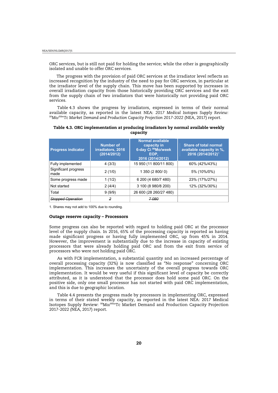<span id="page-18-0"></span>ORC services, but is still not paid for holding the service; while the other is geographically isolated and unable to offer ORC services.

The progress with the provision of paid ORC services at the irradiator level reflects an increased recognition by the industry of the need to pay for ORC services, in particular at the irradiator level of the supply chain. This move has been supported by increases in overall irradiation capacity from those historically providing ORC services and the exit from the supply chain of two irradiators that were historically not providing paid ORC services.

Table 4.3 shows the progress by irradiators, expressed in terms of their normal available capacity, as reported in the latest NEA: *2017 Medical Isotopes Supply Review: 99Mo/99mTc Market Demand and Production Capacity Projection 2017-2022 (*NEA, 2017) report*.*

| Table 4.3. ORC implementation at producing irradiators by normal available weekly |  |
|-----------------------------------------------------------------------------------|--|
| capacity                                                                          |  |

| <b>Progress indicator</b>    | Number of<br>irradiators, 2016<br>(2014/2012) | <b>Normal available</b><br>capacity in<br>6-day Ci <sup>99</sup> Mo/week<br>EOP.<br>2016 (2014/2012) | <b>Share of total normal</b><br>available capacity in %.<br>2016 (2014/2012) <sup>1</sup> |
|------------------------------|-----------------------------------------------|------------------------------------------------------------------------------------------------------|-------------------------------------------------------------------------------------------|
| Fully implemented            | 4(3/3)                                        | 15 950 (11 800/11 800)                                                                               | 60% (42%/43%)                                                                             |
| Significant progress<br>made | 2(1/0)                                        | 1 350 (2 800/0)                                                                                      | 5% (10%/0%)                                                                               |
| Some progress made           | 1(1/2)                                        | 6 200 (4 680/7 480)                                                                                  | 23% (17%/27%)                                                                             |
| Not started                  | 2(4/4)                                        | 3 100 (8 980/8 200)                                                                                  | 12% (32%/30%)                                                                             |
| Total                        | 9(9/9)                                        | 26 600 (28 260/27 480)                                                                               |                                                                                           |
| Stopped Operation            | 2                                             | 7.080                                                                                                |                                                                                           |

1. Shares may not add to 100% due to rounding.

#### **Outage reserve capacity – Processors**

Some progress can also be reported with regard to holding paid ORC at the processor level of the supply chain. In 2016, 65% of the processing capacity is reported as having made significant progress or having fully implemented ORC, up from 45% in 2014. However, the improvement is substantially due to the increase in capacity of existing processors that were already holding paid ORC and from the exit from service of processors who were not holding paid ORC.

As with FCR implementation, a substantial quantity and an increased percentage of overall processing capacity (32%) is now classified as "No response" concerning ORC implementation. This increases the uncertainty of the overall progress towards ORC implementation. It would be very useful if this significant level of capacity be correctly attributed, as it is understood that the processor does hold some paid ORC. On the positive side, only one small processor has not started with paid ORC implementation, and this is due to geographic location.

Table 4.4 presents the progress made by processors in implementing ORC, expressed in terms of their stated weekly capacity, as reported in the latest NEA: 2017 Medical Isotopes Supply Review: 99Mo/99mTc Market Demand and Production Capacity Projection 2017-2022 *(*NEA, 2017) report.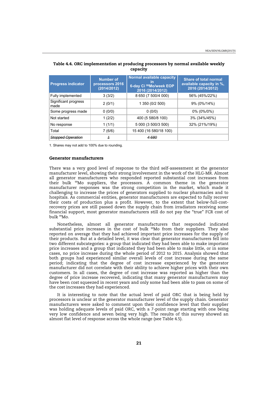| <b>Progress indicator</b>    | <b>Number of</b><br>processors 2016<br>(2014/2012) | Normal available capacity<br>6-day Ci 99Mo/week EOP<br>2016 (2014/2012) | <b>Share of total normal</b><br>available capacity in %,<br>2016 (2014/2012) |
|------------------------------|----------------------------------------------------|-------------------------------------------------------------------------|------------------------------------------------------------------------------|
| Fully implemented            | 3(3/2)                                             | 8 650 (7 500/4 000)                                                     | 56% (45%/22%)                                                                |
| Significant progress<br>made | 2(0/1)                                             | 1 350 (0/2 500)                                                         | 9% (0%/14%)                                                                  |
| Some progress made           | 0(0/0)                                             | 0(0/0)                                                                  | $0\%$ (0%/0%)                                                                |
| Not started                  | 1(2/2)                                             | 400 (5 580/8 100)                                                       | 3% (34%/45%)                                                                 |
| No response                  | 1(1/1)                                             | 5 000 (3 500/3 500)                                                     | 32% (21%/19%)                                                                |
| Total                        | 7(6/6)                                             | 15 400 (16 580/18 100)                                                  |                                                                              |
| Stopped Operation            |                                                    | 4 680                                                                   |                                                                              |

# <span id="page-19-0"></span>**Table 4.4. ORC implementation at producing processors by normal available weekly capacity**

1. Shares may not add to 100% due to rounding.

#### **Generator manufacturers**

There was a very good level of response to the third self-assessment at the generator manufacturer level, showing their strong involvement in the work of the HLG-MR. Almost all generator manufacturers who responded reported substantial cost increases from their bulk 99Mo suppliers, the processors. A common theme in the generator manufacturer responses was the strong competition in the market, which made it challenging to increase the prices of generators supplied to nuclear pharmacies and to hospitals. As commercial entities, generator manufacturers are expected to fully recover their costs of production plus a profit. However, to the extent that below-full-costrecovery prices are still passed down the supply chain from irradiators receiving some financial support, most generator manufacturers still do not pay the "true" FCR cost of bulk 99Mo.

Nonetheless, almost all generator manufacturers that responded indicated substantial price increases in the cost of bulk 99Mo from their suppliers. They also reported on average that they had achieved important price increases for the supply of their products. But at a detailed level, it was clear that generator manufacturers fell into two different subcategories: a group that indicated they had been able to make important price increases and a group that indicated they had been able to make little, or in some cases, no price increase during the whole period of 2012 to 2015. Analysis showed that both groups had experienced similar overall levels of cost increase during the same period; indicating that the degree of cost increase experienced by the generator manufacturer did not correlate with their ability to achieve higher prices with their own customers. In all cases, the degree of cost increase was reported as higher than the degree of price increase recovered, indicating that many generator manufacturers may have been cost squeezed in recent years and only some had been able to pass on some of the cost increases they had experienced.

It is interesting to note that the actual level of paid ORC that is being held by processors is unclear at the generator manufacturer level of the supply chain. Generator manufacturers were asked to comment upon their confidence level that their supplier was holding adequate levels of paid ORC, with a 7-point range starting with one being very low confidence and seven being very high. The results of this survey showed an almost flat level of response across the whole range (see Table 4.5).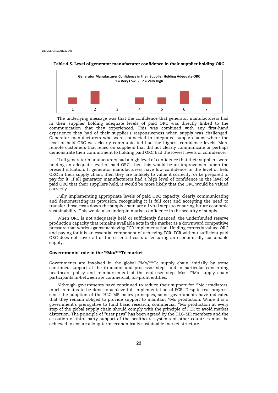

<span id="page-20-0"></span>

The underlying message was that the confidence that generator manufacturers had in their supplier holding adequate levels of paid ORC was directly linked to the communication that they experienced. This was combined with any first-hand experience they had of their supplier's responsiveness when supply was challenged. Generator manufacturers who were connected to integrated supply chains where the level of held ORC was clearly communicated had the highest confidence levels. More remote customers that relied on suppliers that did not clearly communicate or perhaps demonstrate their commitment to holding paid ORC had the lowest levels of confidence.

If all generator manufacturers had a high level of confidence that their suppliers were holding an adequate level of paid ORC, then this would be an improvement upon the present situation. If generator manufacturers have low confidence in the level of held ORC in their supply chain, then they are unlikely to value it correctly, or be prepared to pay for it. If all generator manufacturers had a high level of confidence in the level of paid ORC that their suppliers held, it would be more likely that the ORC would be valued correctly.

Fully implementing appropriate levels of paid ORC capacity, clearly communicating and demonstrating its provision, recognising it is full cost and accepting the need to transfer those costs down the supply chain are all vital steps to ensuring future economic sustainability. This would also underpin market confidence in the security of supply.

When ORC is not adequately held or sufficiently financed, the underfunded reserve production capacity that remains available acts in the market as a downward competitive pressure that works against achieving FCR implementation. Holding correctly valued ORC and paying for it is an essential component of achieving FCR. FCR without sufficient paid ORC does not cover all of the essential costs of ensuring an economically sustainable supply.

#### **Governments' role in the 99Mo/99mTc market**

Governments are involved in the global  $^{99}$ Mo/ $^{99m}$ Tc supply chain, initially by some continued support at the irradiator and processor steps and in particular concerning healthcare policy and reimbursement at the end-user step. Most <sup>99</sup>Mo supply chain participants in-between are commercial, for-profit entities.

Although governments have continued to reduce their support for  $99$ Mo irradiators, much remains to be done to achieve full implementation of FCR. Despite real progress since the adoption of the HLG-MR policy principles, some governments have indicated that they remain obliged to provide support to maintain <sup>99</sup>Mo production. While it is a government's prerogative to fund basic research, commercial <sup>99</sup>Mo production at every step of the global supply chain should comply with the principle of FCR to avoid market distortion. The principle of "user pays" has been agreed by the HLG-MR members and the cessation of third party support of the healthcare systems of other countries must be achieved to ensure a long-term, economically sustainable market structure.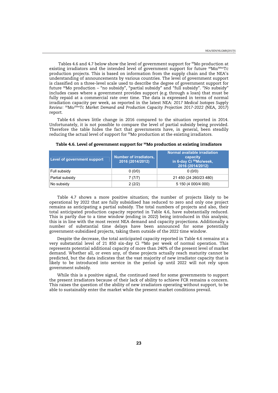<span id="page-21-0"></span>Tables 4.6 and 4.7 below show the level of government support for <sup>99</sup>Mo production at existing irradiators and the intended level of government support for future <sup>99</sup>Mo/<sup>99m</sup>Tc production projects. This is based on information from the supply chain and the NEA's understanding of announcements by various countries. The level of government support is classified on a three-level scale used to describe the degree of government support for future <sup>99</sup>Mo production – "no subsidy", "partial subsidy" and "full subsidy". "No subsidy" includes cases where a government provides support (e.g. through a loan) that must be fully repaid at a commercial rate over time. The data is expressed in terms of normal irradiation capacity per week, as reported in the latest NEA: *2017 Medical Isotopes Supply Review: 99Mo/99mTc Market Demand and Production Capacity Projection 2017-2022 (*NEA, 2017) report*.*

Table 4.6 shows little change in 2016 compared to the situation reported in 2014. Unfortunately, it is not possible to compare the level of partial subsidy being provided. Therefore the table hides the fact that governments have, in general, been steadily reducing the actual level of support for <sup>99</sup>Mo production at the existing irradiators.

| <b>Level of government support</b> | Number of irradiators,<br>2016 (2014/2012) | Normal available irradiation<br>capacity<br>in 6-day Ci <sup>99</sup> Mo/week,<br>2016 (2014/2012) |
|------------------------------------|--------------------------------------------|----------------------------------------------------------------------------------------------------|
| Full subsidy                       | 0(0/0)                                     | 0(0/0)                                                                                             |
| Partial subsidy                    | 7(7/7)                                     | 21 450 (24 260/23 480)                                                                             |
| No subsidy                         | 2(2/2)                                     | 5 150 (4 000/4 000)                                                                                |

**Table 4.6. Level of government support for 99Mo production at existing irradiators** 

Table 4.7 shows a more positive situation; the number of projects likely to be operational by 2022 that are fully subsidised has reduced to zero and only one project remains as anticipating a partial subsidy. The total numbers of projects and also, their total anticipated production capacity reported in Table 4.6, have substantially reduced. This is partly due to a time window (ending in 2022) being introduced in this analysis; this is in line with the most recent NEA demand and capacity projections. Additionally a number of substantial time delays have been announced for some potentially government-subsidised projects, taking them outside of the 2022 time window.

Despite the decrease, the total anticipated capacity reported in Table 4.6 remains at a very substantial level of 21 850 six-day Ci 99Mo per week of normal operation. This represents potential additional capacity of more than 240% of the present level of market demand. Whether all, or even any, of these projects actually reach maturity cannot be predicted, but the data indicates that the vast majority of new irradiator capacity that is likely to be introduced into service in the period up until 2022 will not rely upon government subsidy.

While this is a positive signal, the continued need for some governments to support the present irradiators because of their lack of ability to achieve FCR remains a concern. This raises the question of the ability of new irradiators operating without support, to be able to sustainably enter the market while the present market conditions prevail.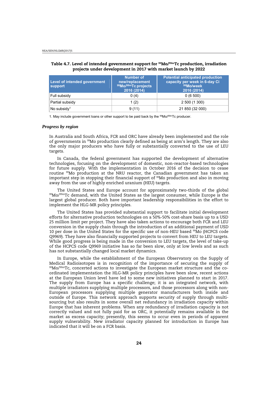| Level of intended government<br>support | Number of<br>new/replacement<br>99Mo/99mTc projects<br>2016 (2014) | <b>Potential anticipated production</b><br>capacity per week in 6-day Ci<br>99Mo/week<br>2016 (2014) |
|-----------------------------------------|--------------------------------------------------------------------|------------------------------------------------------------------------------------------------------|
| Full subsidy                            | 0(4)                                                               | 0(6500)                                                                                              |
| Partial subsidy                         | 1(2)                                                               | 2 500 (1 300)                                                                                        |
| No subsidy <sup>1</sup>                 | 9(11)                                                              | 21 850 (32 000)                                                                                      |

#### <span id="page-22-0"></span>**Table 4.7. Level of intended government support for 99Mo/99mTc production, irradiation projects under development in 2017 with market launch by 2022**

1. May include government loans or other support to be paid back by the  $99Mo/99mTc$  producer.

#### *Progress by region*

In Australia and South Africa, FCR and ORC have already been implemented and the role of governments in 99Mo production clearly defined as being at arm's length. They are also the only major producers who have fully or substantially converted to the use of LEU targets.

In Canada, the federal government has supported the development of alternative technologies, focusing on the development of domestic, non-reactor-based technologies for future supply. With the implementation in October 2016 of the decision to cease routine 99Mo production at the NRU reactor, the Canadian government has taken an important step in stopping their financial support of <sup>99</sup>Mo production and also in moving away from the use of highly enriched uranium (HEU) targets.

The United States and Europe account for approximately two-thirds of the global 99Mo/99mTc demand, with the United States as the largest consumer, while Europe is the largest global producer. Both have important leadership responsibilities in the effort to implement the HLG-MR policy principles.

The United States has provided substantial support to facilitate initial development efforts for alternative production technologies on a 50%-50% cost-share basis up to a USD 25 million limit per project. They have also taken actions to encourage both FCR and LEU conversion in the supply chain through the introduction of an additional payment of USD 10 per dose in the United States for the specific use of non-HEU based 99Mo (HCPCS code Q9969). They have also financially supported projects to convert from HEU to LEU targets. While good progress is being made in the conversion to LEU targets, the level of take-up of the HCPCS code Q9969 initiative has so far been slow, only at low levels and as such has not substantially changed local market dynamics.

In Europe, while the establishment of the European Observatory on the Supply of Medical Radioisotopes is in recognition of the importance of securing the supply of  $99$ Mo/ $99m$ Tc, concerted actions to investigate the European market structure and the coordinated implementation the HLG-MR policy principles have been slow, recent actions at the European Union level have led to some new initiatives planned to start in 2017. The supply from Europe has a specific challenge; it is an integrated network, with multiple irradiators supplying multiple processors, and those processors along with non-European processors supplying multiple generator manufacturers both inside and outside of Europe. This network approach supports security of supply through multisourcing but also results in some overall net redundancy in irradiation capacity within Europe that has inherent problems. When any redundancy of irradiation capacity is not correctly valued and not fully paid for as ORC, it potentially remains available in the market as excess capacity; presently, this seems to occur even in periods of apparent supply vulnerability. New irradiator capacity planned for introduction in Europe has indicated that it will be on a FCR basis.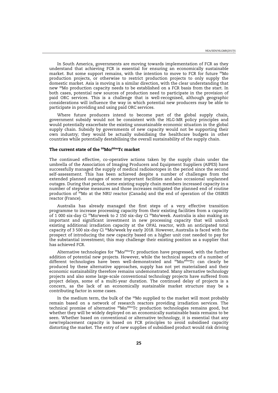<span id="page-23-0"></span>In South America, governments are moving towards implementation of FCR as they understand that achieving FCR is essential for ensuring an economically sustainable market. But some support remains, with the intention to move to FCR for future 99Mo production projects, or otherwise to restrict production projects to only supply the domestic market. Asia is moving in a similar direction, with the clear understanding that new 99Mo production capacity needs to be established on a FCR basis from the start. In both cases, potential new sources of production need to participate in the provision of paid ORC services. This is a challenge that is well-recognised, although geographic considerations will influence the way in which potential new producers may be able to participate in providing and using paid ORC services.

Where future producers intend to become part of the global supply chain, government subsidy would not be consistent with the HLG-MR policy principles and would potentially exacerbate the existing unsustainable economic situation in the global supply chain. Subsidy by governments of new capacity would not be supporting their own industry; they would be actually subsidising the healthcare budgets in other countries while potentially destabilising the overall sustainability of the supply chain.

#### **The current state of the 99Mo/99mTc market**

The continued effective, co-operative actions taken by the supply chain under the umbrella of the Association of Imaging Producers and Equipment Suppliers (AIPES) have successfully managed the supply of medical radioisotopes in the period since the second self-assessment. This has been achieved despite a number of challenges from the extended planned outages of some important facilities and also occasional unplanned outages. During that period, some existing supply chain members increased capacity in a number of stepwise measures and those increases mitigated the planned end of routine production of <sup>99</sup>Mo at the NRU reactor (Canada) and the end of operation of the OSIRIS reactor (France).

Australia has already managed the first steps of a very effective transition programme to increase processing capacity from their existing facilities from a capacity of 1 000 six-day Ci 99Mo/week to 2 150 six-day Ci 99Mo/week. Australia is also making an important and significant investment in new processing capacity that will unlock existing additional irradiation capacity at the OPAL reactor, with an anticipated total capacity of 3 500 six-day Ci 99Mo/week by early 2018. However, Australia is faced with the prospect of introducing the new capacity based on a higher unit cost needed to pay for the substantial investment; this may challenge their existing position as a supplier that has achieved FCR.

Alternative technologies for  $99M<sub>0</sub>/99mTc$  production have progressed, with the further addition of potential new projects. However, while the technical aspects of a number of different technologies have been well-demonstrated and <sup>99</sup>Mo/<sup>99</sup>mTc can clearly be produced by these alternative approaches, supply has not yet materialised and their economic sustainability therefore remains undemonstrated. Many alternative technology projects and also some large-scale conventional technology projects have suffered from project delays, some of a multi-year duration. The continued delay of projects is a concern, as the lack of an economically sustainable market structure may be a contributing factor in some cases.

In the medium term, the bulk of the <sup>99</sup>Mo supplied to the market will most probably remain based on a network of research reactors providing irradiation services. The technical promise of alternative 99Mo/99mTc production technologies remains good, but whether they will be widely deployed on an economically sustainable basis remains to be seen. Whether based on conventional or alternative technology, it is essential that any new/replacement capacity is based on FCR principles to avoid subsidised capacity distorting the market. The entry of new supplies of subsidised product would risk driving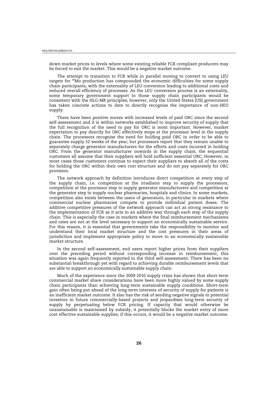down market prices to levels where some existing reliable FCR compliant producers may be forced to exit the market. This would be a negative market outcome.

The attempt to transition to FCR while in parallel moving to convert to using LEU targets for 99Mo production has compounded the economic difficulties for some supply chain participants, with the externality of LEU conversion leading to additional costs and reduced overall efficiency of processes. As the LEU conversion process is an externality, some temporary government support to those supply chain participants would be consistent with the HLG-MR principles; however, only the United States (US) government has taken concrete actions to date to directly recognise the importance of non-HEU supply.

There have been positive moves with increased levels of paid ORC since the second self-assessment and it is within networks established to improve security of supply that the full recognition of the need to pay for ORC is most important. However, market expectation to pay directly for ORC effectively stops at the processor level in the supply chain. The processors recognise the need for holding paid ORC in order to be able to guarantee supply 52 weeks of the year; but processors report that they remain unable to separately charge generator manufacturers for the efforts and costs incurred in holding ORC. From the generator manufacturer onwards in the supply chain, the sequential customers all assume that their suppliers will hold sufficient essential ORC. However, in most cases those customers continue to expect their suppliers to absorb all of the costs for holding the ORC within their own cost structure and do not pay separately for ORC provision.

The network approach by definition introduces direct competition at every step of the supply chain, i.e. competition at the irradiator step to supply the processors, competition at the processor step to supply generator manufacturers and competition at the generator step to supply nuclear pharmacies, hospitals and clinics. In some markets, competition also exists between the users of generators, in particular in markets where commercial nuclear pharmacies compete to provide individual patient doses. The additive competitive pressures of the network approach can act as strong resistance to the implementation of FCR as it acts in an additive way through each step of the supply chain. This is especially the case in markets where the final reimbursement mechanisms and rates are not at the level necessary to support an economically sustainable service. For this reason, it is essential that governments take the responsibility to monitor and understand their local market structure and the cost pressures in their areas of jurisdiction and implement appropriate policy to move to an economically sustainable market structure.

In the second self-assessment, end users report higher prices from their suppliers over the preceding period without corresponding increase in reimbursement; this situation was again frequently reported in the third self-assessment. There has been no substantial breakthrough yet with regard to achieving durable reimbursement levels that are able to support an economically sustainable supply chain.

Much of the experience since the 2009-2010 supply crisis has shown that short-term commercial market share considerations have been more highly valued by some supply chain participants than achieving long-term sustainable supply conditions. Short-term gain often being put ahead of the long-term interests of security of supply for patients is an inefficient market outcome. It also has the risk of sending negative signals to potential investors in future commercially-based projects and jeopardises long-term security of supply by perpetuating below FCR pricing. If capacity that would otherwise be unsustainable is maintained by subsidy, it potentially blocks the market entry of more cost effective sustainable supplies; if this occurs, it would be a negative market outcome.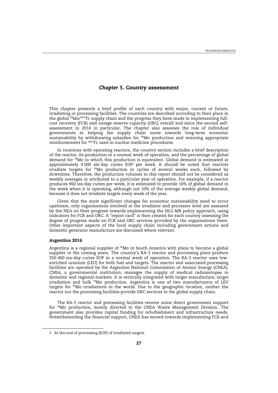# *Chapter 5***. Country assessment**

<span id="page-25-0"></span>This chapter presents a brief profile of each country with major, current or future, irradiating or processing facilities. The countries are described according to their place in the global 99Mo/99mTc supply chain and the progress they have made in implementing fullcost recovery (FCR) and outage reserve capacity (ORC) overall and since the second selfassessment in 2014 in particular. The chapter also assesses the role of individual governments in helping the supply chain move towards long-term economic sustainability by withdrawing subsidies for  $^{99}$ Mo production and ensuring appropriate reimbursement for 99mTc used in nuclear medicine procedures.

In countries with operating reactors, the country section includes a brief description of the reactor, its production in a normal week of operation, and the percentage of global demand for 99Mo to which this production is equivalent. Global demand is estimated at approximately 9000 six-day curies  $EOP<sup>1</sup>$  per week. It should be noted that reactors irradiate targets for <sup>99</sup>Mo production in cycles of several weeks each, followed by downtime. Therefore, the production volumes in this report should not be considered as weekly averages or attributed to a particular year of operation. For example, if a reactor produces 900 six-day curies per week, it is estimated to provide 10% of global demand in the week when it is operating, although not 10% of the average weekly global demand, because it does not irradiate targets every week of the year.

Given that the most significant changes for economic sustainability need to occur upstream, only organisations involved at the irradiator and processor level are assessed by the NEA on their progress towards implementing the HLG-MR policy approach, using indicators for FCR and ORC. A "report card" is then created for each country assessing the degree of progress made on FCR and ORC services provided by the organisations there. Other important aspects of the local supply chain including government actions and domestic generator manufacture are discussed where relevant.

# **Argentina 2016**

Argentina is a regional supplier of 99Mo in South America with plans to become a global supplier in the coming years. The country's RA-3 reactor and processing plant produce 350-400 six-day curies EOP in a normal week of operation. The RA-3 reactor uses lowenriched uranium (LEU) for both fuel and targets. The reactor and associated processing facilities are operated by the Argentine National Commission of Atomic Energy (CNEA). CNEA, a governmental institution, manages the supply of medical radioisotopes in domestic and regional markets. It is vertically integrated with target manufacture, target irradiation and bulk 99Mo production. Argentina is one of two manufacturers of LEU targets for 99Mo irradiations in the world. Due to the geographic location, neither the reactor nor the processing facilities provide ORC services to the global supply chain.

The RA-3 reactor and processing facilities receive some direct government support for 99Mo production, mostly directed to the CNEA Waste Management Division. The government also provides capital funding for refurbishment and infrastructure needs. Notwithstanding the financial support, CNEA has moved towards implementing FCR and

<sup>1.</sup> At the end of processing (EOP) of irradiated targets.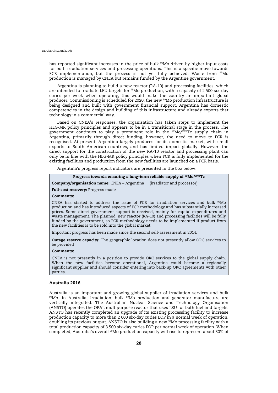<span id="page-26-0"></span>has reported significant increases in the price of bulk <sup>99</sup>Mo driven by higher input costs for both irradiation services and processing operations. This is a specific move towards FCR implementation, but the process is not yet fully achieved. Waste from <sup>99</sup>Mo production is managed by CNEA but remains funded by the Argentine government.

Argentina is planning to build a new reactor (RA-10) and processing facilities, which are intended to irradiate LEU targets for 99Mo production, with a capacity of 2 500 six-day curies per week when operating; this would make the country an important global producer. Commissioning is scheduled for 2020; the new 99Mo production infrastructure is being designed and built with government financial support. Argentina has domestic competencies in the design and building of this infrastructure and already exports that technology in a commercial way.

Based on CNEA's responses, the organisation has taken steps to implement the HLG-MR policy principles and appears to be in a transitional stage in the process. The government continues to play a prominent role in the  $\frac{99}{90}$ Mo/ $\frac{99}{90}$ mTc supply chain in Argentina, primarily through direct funding, however, the need to move to FCR is recognised. At present, Argentina largely produces for its domestic market, with small exports to South American countries, and has limited impact globally. However, the direct support for the construction of the new RA-10 reactor and processing plant can only be in line with the HLG-MR policy principles when FCR is fully implemented for the existing facilities and production from the new facilities are launched on a FCR basis.

Argentina's progress report indicators are presented in the box below.

| Progress towards ensuring a long-term reliable supply of <sup>99</sup> Mo/ <sup>99m</sup> Tc |
|----------------------------------------------------------------------------------------------|
|----------------------------------------------------------------------------------------------|

**Company/organisation name:** CNEA – Argentina (irradiator and processor)

#### **Full-cost recovery:** Progress made

#### **Comments:**

CNEA has started to address the issue of FCR for irradiation services and bulk  $99M$ o production and has introduced aspects of FCR methodology and has substantially increased prices. Some direct government support is received, mainly for capital expenditures and waste management. The planned, new reactor (RA-10) and processing facilities will be fully funded by the government, so FCR methodology needs to be implemented if product from the new facilities is to be sold into the global market.

Important progress has been made since the second self-assessment in 2014.

**Outage reserve capacity:** The geographic location does not presently allow ORC services to be provided

#### **Comments:**

CNEA is not presently in a position to provide ORC services to the global supply chain. When the new facilities become operational, Argentina could become a regionally significant supplier and should consider entering into back-up ORC agreements with other parties.

#### **Australia 2016**

Australia is an important and growing global supplier of irradiation services and bulk 99Mo. In Australia, irradiation, bulk <sup>99</sup>Mo production and generator manufacture are vertically integrated. The Australian Nuclear Science and Technology Organisation (ANSTO) operates the OPAL multipurpose reactor that uses LEU for both fuel and targets. ANSTO has recently completed an upgrade of its existing processing facility to increase production capacity to more than 2 000 six-day curies EOP in a normal week of operation, doubling its previous output. ANSTO is also building a new <sup>99</sup>Mo processing facility with a total production capacity of 3 500 six-day curies EOP per normal week of operation. When completed, Australia's overall 99Mo production capacity will rise to represent about 30% of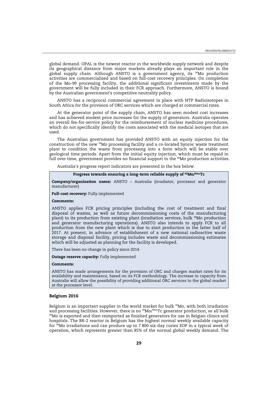<span id="page-27-0"></span>global demand. OPAL is the newest reactor in the worldwide supply network and despite its geographical distance from major markets already plays an important role in the global supply chain. Although ANSTO is a government agency, its 99Mo production activities are commercialised and based on full-cost recovery principles. On completion of the Mo-99 processing facility, the additional significant investments made by the government will be fully included in their FCR approach. Furthermore, ANSTO is bound by the Australian government's competitive neutrality policy.

ANSTO has a reciprocal commercial agreement in place with NTP Radioisotopes in South Africa for the provision of ORC services which are charged at commercial rates.

At the generator point of the supply chain, ANSTO has seen modest cost increases and has achieved modest price increases for the supply of generators. Australia operates an overall fee-for-service policy for the reimbursement of nuclear medicine procedures, which do not specifically identify the costs associated with the medical isotopes that are used.

The Australian government has provided ANSTO with an equity injection for the construction of the new 99Mo processing facility and a co-located Synroc waste treatment plant to condition the waste from processing into a form which will be stable over geological time periods. Apart from the initial equity injection, which must be repaid in full over time, government provides no financial support to the <sup>99</sup>Mo production activities.

Australia's progress report indicators are presented in the box below.

# **Progress towards ensuring a long-term reliable supply of 99Mo/99mTc**

**Company/organisation name:** ANSTO – Australia (irradiator, processor and generator manufacturer)

#### **Full-cost recovery:** Fully implemented

#### **Comments:**

ANSTO applies FCR pricing principles (including the cost of treatment and final disposal of wastes, as well as future decommissioning costs of the manufacturing plant) to its production from existing plant (irradiation services, bulk <sup>99</sup>Mo production and generator manufacturing operations). ANSTO also intends to apply FCR to all production from the new plant which is due to start production in the latter half of 2017. At present, in advance of establishment of a new national radioactive waste storage and disposal facility, pricing includes waste and decommissioning estimates which will be adjusted as planning for the facility is developed.

There has been no change in policy since 2014.

**Outage reserve capacity:** Fully implemented

#### **Comments:**

ANSTO has made arrangements for the provision of ORC and charges market rates for its availability and maintenance, based on its FCR methodology. The increase in capacity from Australia will allow the possibility of providing additional ORC services to the global market at the processor level.

#### **Belgium 2016**

Belgium is an important supplier in the world market for bulk  $^{99}$ Mo, with both irradiation and processing facilities. However, there is no  $^{99}$ Mo/ $^{99m}$ Tc generator production, so all bulk <sup>99</sup>Mo is exported and then reimported as finished generators for use in Belgian clinics and hospitals. The BR-2 reactor in Belgium has the highest normal weekly available capacity for 99Mo irradiations and can produce up to 7 800 six-day curies EOP in a typical week of operation, which represents greater than 85% of the normal global weekly demand. The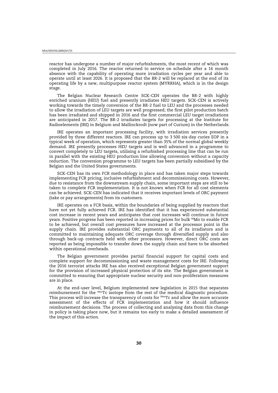reactor has undergone a number of major refurbishments, the most recent of which was completed in July 2016. The reactor returned to service on schedule after a 16 month absence with the capability of operating more irradiation cycles per year and able to operate until at least 2026. It is proposed that the BR-2 will be replaced at the end of its operating life by a new, multipurpose reactor system (MYRRHA), which is in the design stage.

The Belgian Nuclear Research Centre SCK-CEN operates the BR-2 with highly enriched uranium (HEU) fuel and presently irradiates HEU targets. SCK-CEN is actively working towards the timely conversion of the BR-2 fuel to LEU and the processes needed to allow the irradiation of LEU targets are well progressed; the first pilot production batch has been irradiated and shipped in 2016 and the first commercial LEU target irradiations are anticipated in 2017. The BR-2 irradiates targets for processing at the Institute for Radioelements (IRE) in Belgium and Mallinckrodt (now part of Curium) in the Netherlands.

IRE operates an important processing facility, with irradiation services presently provided by three different reactors. IRE can process up to 3 500 six-day curies EOP in a typical week of operation, which represents greater than 35% of the normal global weekly demand. IRE presently processes HEU targets and is well advanced in a programme to convert completely to LEU targets, utilising a refurbished processing line that can be run in parallel with the existing HEU production line allowing conversion without a capacity reduction. The conversion programme to LEU targets has been partially subsidised by the Belgian and the United States governments.

SCK-CEN has its own FCR methodology in place and has taken major steps towards implementing FCR pricing, inclusive refurbishment and decommissioning costs. However, due to resistance from the downstream supply chain, some important steps are still to be taken to complete FCR implementation. It is not known when FCR for all cost elements can be achieved. SCK-CEN has indicated that it receives important levels of ORC payment (take or pay arrangements) from its customers.

IRE operates on a FCR basis, within the boundaries of being supplied by reactors that have not yet fully achieved FCR. IRE has identified that it has experienced substantial cost increase in recent years and anticipates that cost increases will continue in future years. Positive progress has been reported in increasing prices for bulk <sup>99</sup>Mo to enable FCR to be achieved, but overall cost pressures have increased at the processor point in the supply chain. IRE provides substantial ORC payments to all of its irradiators and is committed to maintaining adequate ORC coverage through diversified supply and also through back-up contracts held with other processors. However, direct ORC costs are reported as being impossible to transfer down the supply chain and have to be absorbed within operational overheads.

The Belgian government provides partial financial support for capital costs and complete support for decommissioning and waste management costs for IRE. Following the 2016 terrorist attacks IRE has also received exceptional Belgian government support for the provision of increased physical protection of its site. The Belgian government is committed to ensuring that appropriate nuclear security and non-proliferation measures are in place.

At the end-user level, Belgium implemented new legislation in 2015 that separates reimbursement for the 99mTc isotope from the rest of the medical diagnostic procedure. This process will increase the transparency of costs for 99mTc and allow the more accurate assessment of the effects of FCR implementation and how it should influence reimbursement decisions. The process of collecting and analysing data from this change in policy is taking place now, but it remains too early to make a detailed assessment of the impact of this action.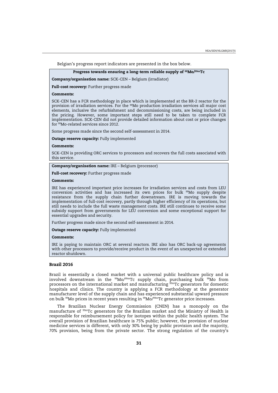<span id="page-29-0"></span>Belgian's progress report indicators are presented in the box below.

#### **Progress towards ensuring a long-term reliable supply of 99Mo/99mTc**

**Company/organisation name:** SCK-CEN – Belgium (irradiator)

**Full-cost recovery:** Further progress made

#### **Comments:**

SCK-CEN has a FCR methodology in place which is implemented at the BR-2 reactor for the provision of irradiation services. For the <sup>99</sup>Mo production irradiation services all major cost elements, inclusive the refurbishment and decommissioning costs, are being included in the pricing. However, some important steps still need to be taken to complete FCR implementation. SCK-CEN did not provide detailed information about cost or price changes for 99Mo-related services since 2012.

Some progress made since the second self-assessment in 2014.

**Outage reserve capacity:** Fully implemented

#### **Comments:**

SCK-CEN is providing ORC services to processors and recovers the full costs associated with this service.

**Company/organisation name:** IRE – Belgium (processor)

**Full-cost recovery:** Further progress made

# **Comments:**

IRE has experienced important price increases for irradiation services and costs from LEU conversion activities and has increased its own prices for bulk  $^{99}$ Mo supply despite resistance from the supply chain further downstream. IRE is moving towards the implementation of full-cost recovery, partly through higher efficiency of its operations, but still needs to include the full waste management costs. IRE still continues to receive some subsidy support from governments for LEU conversion and some exceptional support for essential upgrades and security.

Further progress made since the second self-assessment in 2014.

**Outage reserve capacity:** Fully implemented

#### **Comments:**

IRE is paying to maintain ORC at several reactors. IRE also has ORC back-up agreements with other processors to provide/receive product in the event of an unexpected or extended reactor shutdown.

#### **Brazil 2016**

Brazil is essentially a closed market with a universal public healthcare policy and is involved downstream in the <sup>99</sup>Mo/<sup>99m</sup>Tc supply chain, purchasing bulk <sup>99</sup>Mo from processors on the international market and manufacturing  $\frac{99 \text{m}}{20}$  generators for domestic hospitals and clinics. The country is applying a FCR methodology at the generator manufacturer level of the supply chain and has experienced substantial upward pressure on bulk 99Mo prices in recent years resulting in 99Mo/99mTc generator price increases.

The Brazilian Nuclear Energy Commission (CNEN) has a monopoly on the manufacture of <sup>99m</sup>Tc generators for the Brazilian market and the Ministry of Health is responsible for reimbursement policy for isotopes within the public health system. The overall provision of Brazilian healthcare is 75% public; however, the provision of nuclear medicine services is different, with only 30% being by public provision and the majority, 70% provision, being from the private sector. The strong regulation of the country's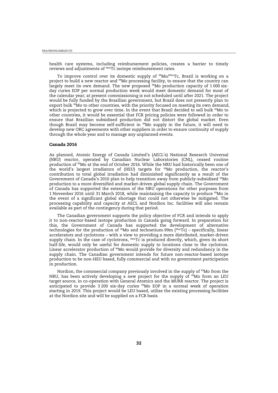<span id="page-30-0"></span>health care systems, including reimbursement policies, creates a barrier to timely reviews and adjustments of 99mTc isotope reimbursement rates.

To improve control over its domestic supply of <sup>99</sup>Mo/<sup>99m</sup>Tc, Brazil is working on a project to build a new reactor and 99Mo processing facility, to ensure that the country can largely meet its own demand. The new proposed <sup>99</sup>Mo production capacity of 1 000 sixday curies EOP per normal production week would meet domestic demand for most of the calendar year; at present commissioning is not scheduled until after 2021. The project would be fully funded by the Brazilian government, but Brazil does not presently plan to export bulk <sup>99</sup>Mo to other countries, with the priority focused on meeting its own demand, which is projected to grow over time. In the event that Brazil decided to sell bulk <sup>99</sup>Mo to other countries, it would be essential that FCR pricing policies were followed in order to ensure that Brazilian subsidised production did not distort the global market. Even though Brazil may become self-sufficient in  $^{99}$ Mo supply in the future, it will need to develop new ORC agreements with other suppliers in order to ensure continuity of supply through the whole year and to manage any unplanned events.

#### **Canada 2016**

As planned, Atomic Energy of Canada Limited's (AECL's) National Research Universal (NRU) reactor, operated by Canadian Nuclear Laboratories (CNL), ceased routine production of <sup>99</sup>Mo at the end of October 2016. While the NRU had historically been one of the world's largest irradiators of (HEU) targets for <sup>99</sup>Mo production, the reactor's contribution to total global irradiation had diminished significantly as a result of the Government of Canada's 2010 plan to help transition away from publicly-subsidised 99Mo production to a more diversified and market-driven global supply chain. The Government of Canada has supported the extension of the NRU operations for other purposes from 1 November 2016 until 31 March 2018, while maintaining the capacity to produce 99Mo in the event of a significant global shortage that could not otherwise be mitigated. The processing capability and capacity at AECL and Nordion Inc. facilities will also remain available as part of the contingency during that period.

The Canadian government supports the policy objective of FCR and intends to apply it to non-reactor-based isotope production in Canada going forward. In preparation for this, the Government of Canada has supported the development of alternative technologies for the production of  $99M$ o and technetium-99m  $(99mTc)$  – specifically, linear accelerators and cyclotrons – with a view to providing a more distributed, market-driven supply chain. In the case of cyclotrons, <sup>99m</sup>Tc is produced directly, which, given its short half-life, would only be useful for domestic supply to locations close to the cyclotron. Linear accelerator production of 99Mo would provide for diversity and redundancy in the supply chain. The Canadian government intends for future non-reactor-based isotope production to be non-HEU based, fully commercial and with no government participation in production.

Nordion, the commercial company previously involved in the supply of  $99M$ o from the NRU, has been actively developing a new project for the supply of  $\frac{99}{900}$  from an LEU target source, in co-operation with General Atomics and the MURR reactor. The project is anticipated to provide 3 200 six-day curies 99Mo EOP in a normal week of operation starting in 2019. This project would be LEU based, utilise the existing processing facilities at the Nordion site and will be supplied on a FCR basis.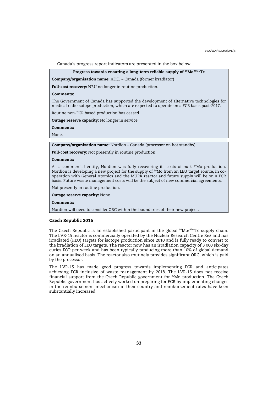<span id="page-31-0"></span>Canada's progress report indicators are presented in the box below.

#### **Progress towards ensuring a long-term reliable supply of 99Mo/99mTc**

**Company/organisation name:** AECL – Canada (former irradiator)

**Full-cost recovery:** NRU no longer in routine production.

#### **Comments:**

The Government of Canada has supported the development of alternative technologies for medical radioisotope production, which are expected to operate on a FCR basis post-2017.

Routine non-FCR based production has ceased.

**Outage reserve capacity:** No longer in service

**Comments:** 

None.

**Company/organisation name:** Nordion – Canada (processor on hot standby)

**Full-cost recovery:** Not presently in routine production

#### **Comments:**

As a commercial entity, Nordion was fully recovering its costs of bulk  $99M$ o production. Nordion is developing a new project for the supply of 99Mo from an LEU target source, in cooperation with General Atomics and the MURR reactor and future supply will be on a FCR basis. Future waste management costs will be the subject of new commercial agreements.

Not presently in routine production.

**Outage reserve capacity:** None

#### **Comments:**

Nordion will need to consider ORC within the boundaries of their new project.

#### **Czech Republic 2016**

The Czech Republic is an established participant in the global  $99Mo/99mTc$  supply chain. The LVR-15 reactor is commercially operated by the Nuclear Research Centre Rež and has irradiated (HEU) targets for isotope production since 2010 and is fully ready to convert to the irradiation of LEU targets. The reactor now has an irradiation capacity of 3 000 six-day curies EOP per week and has been typically producing more than 10% of global demand on an annualised basis. The reactor also routinely provides significant ORC, which is paid by the processor.

The LVR-15 has made good progress towards implementing FCR and anticipates achieving FCR inclusive of waste management by 2018. The LVR-15 does not receive financial support from the Czech Republic government for 99Mo production. The Czech Republic government has actively worked on preparing for FCR by implementing changes in the reimbursement mechanism in their country and reimbursement rates have been substantially increased.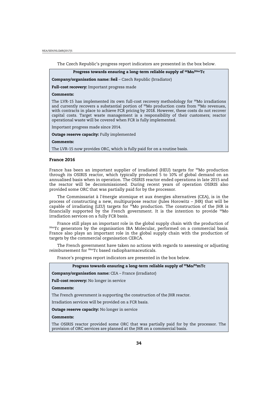<span id="page-32-0"></span>The Czech Republic's progress report indicators are presented in the box below.

**Progress towards ensuring a long-term reliable supply of 99Mo/99mTc** 

**Company/organisation name: ěež** – Czech Republic (Irradiator)

**Full-cost recovery:** Important progress made

#### **Comments:**

The LVR-15 has implemented its own full-cost recovery methodology for  $99M$ o irradiations and currently recovers a substantial portion of  $99M$ o production costs from  $99M$ o revenues, with contracts in place to achieve FCR pricing by 2018. However, these costs do not recover capital costs. Target waste management is a responsibility of their customers; reactor operational waste will be covered when FCR is fully implemented.

Important progress made since 2014.

**Outage reserve capacity:** Fully implemented

**Comments:** 

The LVR-15 now provides ORC, which is fully paid for on a routine basis.

#### **France 2016**

France has been an important supplier of irradiated (HEU) targets for  $99$ Mo production through its OSIRIS reactor, which typically produced 5 to 10% of global demand on an annualised basis when in operation. The OSIRIS reactor ended operations in late 2015 and the reactor will be decommissioned. During recent years of operation OSIRIS also provided some ORC that was partially paid for by the processor.

The Commissariat à l'énergie atomique et aux énergies alternatives (CEA), is in the process of constructing a new, multipurpose reactor (Jules Horowitz – JHR) that will be capable of irradiating (LEU) targets for  $99$ Mo production. The construction of the JHR is financially supported by the French government. It is the intention to provide  $99$ Mo irradiation services on a fully FCR basis.

France still plays an important role in the global supply chain with the production of  $99mTc$  generators by the organisation IBA Molecular, performed on a commercial basis. France also plays an important role in the global supply chain with the production of targets by the commercial organisation CERCA.

The French government have taken no actions with regards to assessing or adjusting reimbursement for <sup>99m</sup>Tc based radiopharmaceuticals.

France's progress report indicators are presented in the box below.

| Progress towards ensuring a long-term reliable supply of <sup>99</sup> Mo/ <sup>99</sup> mTc                                                                      |  |  |
|-------------------------------------------------------------------------------------------------------------------------------------------------------------------|--|--|
| <b>Company/organisation name:</b> CEA – France (irradiator)                                                                                                       |  |  |
| <b>Full-cost recovery:</b> No longer in service                                                                                                                   |  |  |
| Comments:                                                                                                                                                         |  |  |
| The French government is supporting the construction of the JHR reactor.                                                                                          |  |  |
| Irradiation services will be provided on a FCR basis.                                                                                                             |  |  |
| <b>Outage reserve capacity:</b> No longer in service                                                                                                              |  |  |
| <b>Comments:</b>                                                                                                                                                  |  |  |
| The OSIRIS reactor provided some ORC that was partially paid for by the processor. The<br>provision of ORC services are planned at the JHR on a commercial basis. |  |  |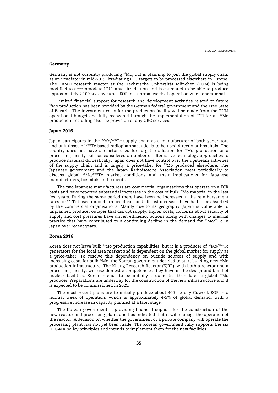#### <span id="page-33-0"></span>**Germany**

Germany is not currently producing  $99M$ o, but is planning to join the global supply chain as an irradiator in mid-2019, irradiating LEU targets to be processed elsewhere in Europe. The FRM II research reactor at the Technische Universität München (TUM) is being modified to accommodate LEU target irradiation and is estimated to be able to produce approximately 2 100 six-day curies EOP in a normal week of operation when operational.

Limited financial support for research and development activities related to future 99Mo production has been provided by the German federal government and the Free State of Bavaria. The investment costs for the production facility will be made from the TUM operational budget and fully recovered through the implementation of FCR for all <sup>99</sup>Mo production, including also the provision of any ORC services.

#### **Japan 2016**

Japan participates in the  $99Mo/99mTc$  supply chain as a manufacturer of both generators and unit doses of <sup>99m</sup>Tc based radiopharmaceuticals to be used directly at hospitals. The country does not have a reactor used for target irradiation for 99Mo production or a processing facility but has considered a number of alternative technology approaches to produce material domestically. Japan does not have control over the upstream activities of the supply chain and is largely a price-taker for 99Mo produced elsewhere. The Japanese government and the Japan Radioisotope Association meet periodically to discuss global 99Mo/99mTc market conditions and their implications for Japanese manufacturers, hospitals and patients.

The two Japanese manufacturers are commercial organisations that operate on a FCR basis and have reported substantial increases in the cost of bulk <sup>99</sup>Mo material in the last few years. During the same period there have been no increases in the reimbursement rates for 99mTc based radiopharmaceuticals and all cost increases have had to be absorbed by the commercial organisations. Mainly due to its geography, Japan is vulnerable to unplanned producer outages that disrupt supply. Higher costs, concerns about security of supply and cost pressures have driven efficiency actions along with changes to medical practice that have contributed to a continuing decline in the demand for  $99\text{Mo}/99\text{Te}$  in Japan over recent years.

#### **Korea 2016**

Korea does not have bulk  $99M$ o production capabilities, but it is a producer of  $99M$ o/ $99m$ Tc generators for the local area market and is dependent on the global market for supply as a price-taker. To resolve this dependency on outside sources of supply and with increasing costs for bulk  $99M$ o, the Korean government decided to start building new  $99M$ o production infrastructure. The Kijang Research Reactor (KJRR), with both a reactor and a processing facility, will use domestic competencies they have in the design and build of nuclear facilities. Korea intends to be initially a domestic, then later a global <sup>99</sup>Mo producer. Preparations are underway for the construction of the new infrastructure and it is expected to be commissioned in 2021.

The most recent plans are to initially produce about 400 six-day Ci/week EOP in a normal week of operation, which is approximately 4-5% of global demand, with a progressive increase in capacity planned at a later stage.

The Korean government is providing financial support for the construction of the new reactor and processing plant, and has indicated that it will manage the operation of the reactor. A decision on whether the government or a private company will operate the processing plant has not yet been made. The Korean government fully supports the six HLG-MR policy principles and intends to implement them for the new facilities.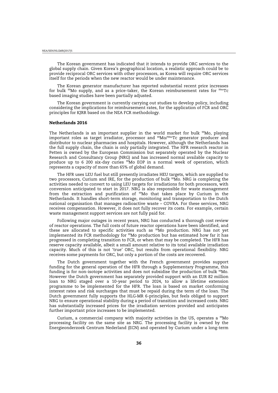<span id="page-34-0"></span>The Korean government has indicated that it intends to provide ORC services to the global supply chain. Given Korea's geographical location, a realistic approach could be to provide reciprocal ORC services with other processors, as Korea will require ORC services itself for the periods when the new reactor would be under maintenance.

The Korean generator manufacturer has reported substantial recent price increases for bulk  $99M$ o supply, and as a price-taker, the Korean reimbursement rates for  $99m$ Tc based imaging studies have been partially adjusted.

The Korean government is currently carrying out studies to develop policy, including considering the implications for reimbursement rates, for the application of FCR and ORC principles for KJRR based on the NEA FCR methodology.

#### **Netherlands 2016**

The Netherlands is an important supplier in the world market for bulk  $99M$ o, playing important roles as target irradiator, processor and <sup>99</sup>Mo/<sup>99m</sup>Tc generator producer and distributor to nuclear pharmacies and hospitals. However, although the Netherlands has the full supply chain, the chain is only partially integrated. The HFR research reactor in Petten is owned by the European Commission but separately operated by the Nuclear Research and Consultancy Group (NRG) and has increased normal available capacity to produce up to 6 200 six-day curies 99Mo EOP in a normal week of operation, which represents a capacity of more than 65% of global demand.

The HFR uses LEU fuel but still presently irradiates HEU targets, which are supplied to two processors, Curium and IRE, for the production of bulk <sup>99</sup>Mo. NRG is completing the activities needed to convert to using LEU targets for irradiations for both processors, with conversion anticipated to start in 2017. NRG is also responsible for waste management from the extraction and purification of 99Mo that takes place by Curium in the Netherlands. It handles short-term storage, monitoring and transportation to the Dutch national organisation that manages radioactive waste – COVRA. For these services, NRG receives compensation. However, it does not fully recover its costs. For example, certain waste management support services are not fully paid for.

Following major outages in recent years, NRG has conducted a thorough cost review of reactor operations. The full costs of future reactor operations have been identified, and these are allocated to specific activities such as  $99M$ o production. NRG has not yet implemented its FCR methodology for 99Mo production but has estimated how far it has progressed in completing transition to FCR, or when that may be completed. The HFR has reserve capacity available, albeit a small amount relative to its total available irradiation capacity. Much of this is not 'true' ORC, but results from operational flexibility. NRG receives some payments for ORC, but only a portion of the costs are recovered.

The Dutch government together with the French government provides support funding for the general operation of the HFR through a Supplementary Programme, this funding is for non-isotope activities and does not subsidise the production of bulk <sup>99</sup>Mo. However the Dutch government has separately provided support with an EUR 82 million loan to NRG staged over a 10-year period to 2024, to allow a lifetime extension programme to be implemented for the HFR. The loan is based on market conforming interest rates and risk surcharges that must be repaid during the term of the loan. The Dutch government fully supports the HLG-MR 6-principles, but feels obliged to support NRG to ensure operational stability during a period of transition and increased costs. NRG has substantially increased prices for the irradiation services provided and anticipates further important price increases to be implemented.

Curium, a commercial company with majority activities in the US, operates a  $^{99}$ Mo processing facility on the same site as NRG. The processing facility is owned by the Energieonderzoek Centrum Nederland (ECN) and operated by Curium under a long-term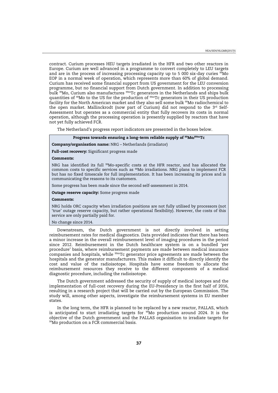contract. Curium processes HEU targets irradiated in the HFR and two other reactors in Europe. Curium are well advanced in a programme to convert completely to LEU targets and are in the process of increasing processing capacity up to 5 000 six-day curies  $\frac{95}{9}$ Mo EOP in a normal week of operation, which represents more than 60% of global demand. Curium has received some financial support from US government for the LEU conversion programme, but no financial support from Dutch government. In addition to processing bulk <sup>99</sup>Mo, Curium also manufactures <sup>99m</sup>Tc generators in the Netherlands and ships bulk quantities of <sup>99</sup>Mo to the US for the production of <sup>99m</sup>Tc generators in their US production facility for the North American market and they also sell some bulk <sup>99</sup>Mo radiochemical to the open market. Mallinckrodt (now part of Curium) did not respond to the  $3<sup>rd</sup>$  Self-Assessment but operates as a commercial entity that fully recovers its costs in normal operation, although the processing operation is presently supplied by reactors that have not yet fully achieved FCR.

The Netherland's progress report indicators are presented in the boxes below.

#### **Progress towards ensuring a long-term reliable supply of 99Mo/99mTc**

#### **Company/organisation name:** NRG – Netherlands (irradiator)

**Full-cost recovery:** Significant progress made

#### **Comments:**

NRG has identified its full <sup>99</sup>Mo-specific costs at the HFR reactor, and has allocated the common costs to specific services such as 99Mo irradiations. NRG plans to implement FCR but has no fixed timescale for full implementation. It has been increasing its prices and is communicating the reasons to its customers.

Some progress has been made since the second self-assessment in 2014.

**Outage reserve capacity:** Some progress made

#### **Comments:**

NRG holds ORC capacity when irradiation positions are not fully utilised by processors (not 'true' outage reserve capacity, but rather operational flexibility). However, the costs of this service are only partially paid for.

#### No change since 2014.

Downstream, the Dutch government is not directly involved in setting reimbursement rates for medical diagnostics. Data provided indicates that there has been a minor increase in the overall reimbursement level of imaging procedures in the period since 2012. Reimbursement in the Dutch healthcare system is on a bundled 'per procedure' basis, where reimbursement payments are made between medical insurance companies and hospitals, while 99mTc generator price agreements are made between the hospitals and the generator manufacturers. This makes it difficult to directly identify the cost and value of the radioisotope. Hospitals have some freedom to allocate the reimbursement resources they receive to the different components of a medical diagnostic procedure, including the radioisotope.

The Dutch government addressed the security of supply of medical isotopes and the implementation of full-cost recovery during the EU-Presidency in the first half of 2016, resulting in a research project that will be carried out by the European Commission. The study will, among other aspects, investigate the reimbursement systems in EU member states.

In the long term, the HFR is planned to be replaced by a new reactor, PALLAS, which is anticipated to start irradiating targets for  $99$ Mo production around 2024. It is the objective of the Dutch government and the PALLAS organisation to irradiate targets for <sup>99</sup>Mo production on a FCR commercial basis.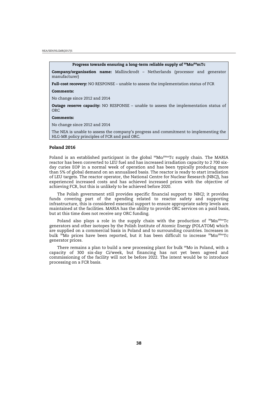<span id="page-36-0"></span>NEA/SEN/HLGMR(2017)5

#### **Progress towards ensuring a long-term reliable supply of 99Mo/99mTc**

**Company/organisation name:** Mallinckrodt – Netherlands (processor and generator manufacturer)

**Full-cost recovery:** NO RESPONSE – unable to assess the implementation status of FCR

#### **Comments:**

No change since 2012 and 2014

**Outage reserve capacity:** NO RESPONSE – unable to assess the implementation status of **ORC** 

#### **Comments:**

No change since 2012 and 2014

The NEA is unable to assess the company's progress and commitment to implementing the HLG-MR policy principles of FCR and paid ORC.

#### **Poland 2016**

Poland is an established participant in the global  $99Mo/99mTc$  supply chain. The MARIA reactor has been converted to LEU fuel and has increased irradiation capacity to 2 700 sixday curies EOP in a normal week of operation and has been typically producing more than 5% of global demand on an annualised basis. The reactor is ready to start irradiation of LEU targets. The reactor operator, the National Centre for Nuclear Research (NBCJ), has experienced increased costs and has achieved increased prices with the objective of achieving FCR, but this is unlikely to be achieved before 2020.

The Polish government still provides specific financial support to NBCJ; it provides funds covering part of the spending related to reactor safety and supporting infrastructure, this is considered essential support to ensure appropriate safety levels are maintained at the facilities. MARIA has the ability to provide ORC services on a paid basis, but at this time does not receive any ORC funding.

Poland also plays a role in the supply chain with the production of  $99Mo/99mTc$ generators and other isotopes by the Polish Institute of Atomic Energy (POLATOM) which are supplied on a commercial basis in Poland and to surrounding countries. Increases in bulk <sup>99</sup>Mo prices have been reported, but it has been difficult to increase <sup>99</sup>Mo/<sup>99m</sup>Tc generator prices.

There remains a plan to build a new processing plant for bulk <sup>99</sup>Mo in Poland, with a capacity of 300 six-day Ci/week, but financing has not yet been agreed and commissioning of the facility will not be before 2022. The intent would be to introduce processing on a FCR basis.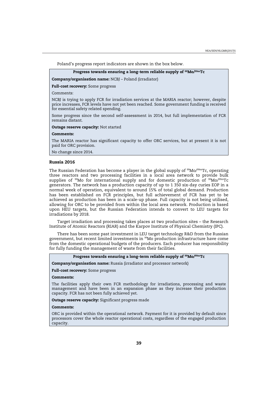<span id="page-37-0"></span>Poland's progress report indicators are shown in the box below.

#### **Progress towards ensuring a long-term reliable supply of 99Mo/99mTc**

**Company/organisation name:** NCBJ – Poland (irradiator)

#### **Full-cost recovery:** Some progress

#### Comments:

NCBJ is trying to apply FCR for irradiation services at the MARIA reactor; however, despite price increases, FCR levels have not yet been reached. Some government funding is received for essential safety related spending.

Some progress since the second self-assessment in 2014, but full implementation of FCR remains distant.

#### **Outage reserve capacity:** Not started

#### **Comments:**

The MARIA reactor has significant capacity to offer ORC services, but at present it is not paid for ORC provision.

No change since 2014.

#### **Russia 2016**

The Russian Federation has become a player in the global supply of  $99M_0/99mTc$ , operating three reactors and two processing facilities in a local area network to provide bulk supplies of <sup>99</sup>Mo for international supply and for domestic production of <sup>99</sup>Mo/<sup>99m</sup>Tc generators. The network has a production capacity of up to 1 350 six-day curies EOP in a normal week of operation, equivalent to around 15% of total global demand. Production has been established on FCR principles, but full achievement of FCR has yet to be achieved as production has been in a scale-up phase. Full capacity is not being utilised, allowing for ORC to be provided from within the local area network. Production is based upon HEU targets, but the Russian Federation intends to convert to LEU targets for irradiations by 2018.

Target irradiation and processing takes places at two production sites – the Research Institute of Atomic Reactors (RIAR) and the Karpov Institute of Physical Chemistry (IPC).

There has been some past investment in LEU target technology R&D from the Russian government, but recent limited investments in 99Mo production infrastructure have come from the domestic operational budgets of the producers. Each producer has responsibility for fully funding the management of waste from their facilities.

#### **Progress towards ensuring a long-term reliable supply of 99Mo/99mTc**

**Company/organisation name:** Russia (irradiator and processor network)

#### **Full-cost recovery:** Some progress

#### **Comments:**

The facilities apply their own FCR methodology for irradiations, processing and waste management and have been in an expansion phase as they increase their production capacity. FCR has not been fully achieved yet.

**Outage reserve capacity:** Significant progress made

#### **Comments:**

ORC is provided within the operational network. Payment for it is provided by default since processors cover the whole reactor operational costs, regardless of the engaged production capacity.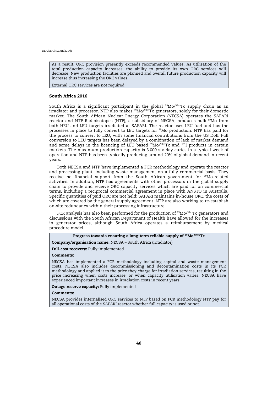<span id="page-38-0"></span>NEA/SEN/HLGMR(2017)5

As a result, ORC provision presently exceeds recommended values. As utilisation of the total production capacity increases, the ability to provide its own ORC services will decrease. New production facilities are planned and overall future production capacity will increase thus increasing the ORC values.

External ORC services are not required.

#### **South Africa 2016**

South Africa is a significant participant in the global <sup>99</sup>Mo/<sup>99m</sup>Tc supply chain as an irradiator and processor. NTP also makes  $99$ Mo/ $99$ mTc generators, solely for their domestic market. The South African Nuclear Energy Corporation (NECSA) operates the SAFARI reactor and NTP Radioisotopes (NTP), a subsidiary of NECSA, produces bulk <sup>99</sup>Mo from both HEU and LEU targets irradiated at SAFARI. The reactor uses LEU fuel and has the processes in place to fully convert to LEU targets for <sup>99</sup>Mo production. NTP has paid for the process to convert to LEU, with some financial contributions from the US DoE. Full conversion to LEU targets has been delayed by a combination of lack of market demand and some delays in the licencing of LEU based  $99$ Mo/ $99$ mTc and  $131$  products in certain markets. The maximum production capacity is 3 000 six-day curies in a typical week of operation and NTP has been typically producing around 20% of global demand in recent years.

Both NECSA and NTP have implemented a FCR methodology and operate the reactor and processing plant, including waste management on a fully commercial basis. They receive no financial support from the South African government for 99Mo-related activities. In addition, NTP has agreements with other processors in the global supply chain to provide and receive ORC capacity services which are paid for on commercial terms, including a reciprocal commercial agreement in place with ANSTO in Australia. Specific quantities of paid ORC are not held; SAFARI maintains in-house ORC, the costs of which are covered by the general supply agreement. NTP are also working to re-establish on-site redundancy within their processing infrastructure.

FCR analysis has also been performed for the production of 99Mo/99mTc generators and discussions with the South African Department of Health have allowed for the increases in generator prices, although South Africa operates a reimbursement by medical procedure model.

#### **Progress towards ensuring a long-term reliable supply of 99Mo/99mTc**

**Company/organisation name:** NECSA – South Africa (irradiator)

**Full-cost recovery:** Fully implemented

#### **Comments:**

NECSA has implemented a FCR methodology including capital and waste management costs. NECSA also includes decommissioning and decontamination costs in its FCR methodology and applied it to the price they charge for irradiation services, resulting in the price increasing when costs increase, or when capacity utilisation varies. NECSA have experienced important increases in irradiation costs in recent years.

**Outage reserve capacity:** Fully implemented

#### **Comments:**

NECSA provides internalised ORC services to NTP based on FCR methodology NTP pay for all operational costs of the SAFARI reactor whether full capacity is used or not.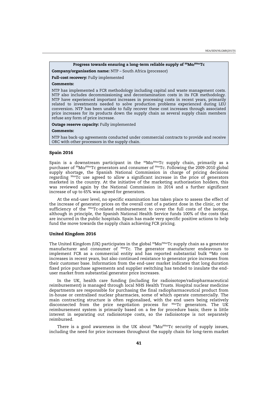# **Progress towards ensuring a long-term reliable supply of 99Mo/99mTc**

<span id="page-39-0"></span>**Company/organisation name:** NTP – South Africa (processor)

**Full-cost recovery:** Fully implemented

## **Comments:**

NTP has implemented a FCR methodology including capital and waste management costs. NTP also includes decommissioning and decontamination costs in its FCR methodology. NTP have experienced important increases in processing costs in recent years, primarily related to investments needed to solve production problems experienced during LEU conversion. NTP has been unable to fully recover these cost increases through associated price increases for its products down the supply chain as several supply chain members refuse any form of price increase.

**Outage reserve capacity:** Fully implemented

#### **Comments:**

NTP has back-up agreements conducted under commercial contracts to provide and receive ORC with other processors in the supply chain.

#### **Spain 2016**

Spain is a downstream participant in the  $99M\text{O}/99mTc$  supply chain, primarily as a purchaser of 99Mo/99mTc generators and consumer of 99mTc. Following the 2009-2010 global supply shortage, the Spanish National Commission in charge of pricing decisions regarding 99mTc use agreed to allow a significant increase in the price of generators marketed in the country. At the initiative of the marketing authorisation holders, this was reviewed again by the National Commission in 2014 and a further significant increase of up to 65% was agreed for generators.

At the end-user level, no specific examination has taken place to assess the effect of the increase of generator prices on the overall cost of a patient dose in the clinic, or the sufficiency of the <sup>99m</sup>Tc-related reimbursement to cover the full costs of the isotope, although in principle, the Spanish National Health Service funds 100% of the costs that are incurred in the public hospitals. Spain has made very specific positive actions to help fund the move towards the supply chain achieving FCR pricing.

#### **United Kingdom 2016**

The United Kingdom (UK) participates in the global  $99M_0/99mTc$  supply chain as a generator manufacturer and consumer of  $^{99m}$ Tc. The generator manufacturer endeavours to implement FCR as a commercial entity and has reported substantial bulk <sup>99</sup>Mo cost increases in recent years, but also continued resistance to generator price increases from their customer base. Information from the end-user market indicates that long duration fixed price purchase agreements and supplier switching has tended to insulate the enduser market from substantial generator price increases.

In the UK, health care funding (including for radioisotope/radiopharmaceutical reimbursement) is managed through local NHS Health Trusts. Hospital nuclear medicine departments are responsible for purchasing the final radiopharmaceutical product from in-house or centralised nuclear pharmacies, some of which operate commercially. The main contracting structure is often regionalised, with the end users being relatively disconnected from the price negotiation process for 99mTc generators. The UK reimbursement system is primarily based on a fee for procedure basis; there is little interest in separating out radioisotope costs, so the radioisotope is not separately reimbursed.

There is a good awareness in the UK about  $99M<sub>99m</sub>$ Tc security of supply issues, including the need for price increases throughout the supply chain for long-term market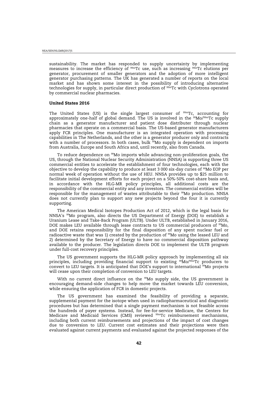<span id="page-40-0"></span>sustainability. The market has responded to supply uncertainty by implementing measures to increase the efficiency of 99mTc use, such as increasing 99mTc elutions per generator, procurement of smaller generators and the adoption of more intelligent generator purchasing patterns. The UK has generated a number of reports on the local market and has shown some interest in the possibility of introducing alternative technologies for supply, in particular direct production of  $99<sup>cm</sup>$ Tc with Cyclotrons operated by commercial nuclear pharmacies.

#### **United States 2016**

The United States (US) is the single largest consumer of  $^{99m}$ Tc, accounting for approximately one-half of global demand. The US is involved in the <sup>99</sup>Mo/<sup>99m</sup>Tc supply chain as a generator manufacturer and patient dose distributer through nuclear pharmacies that operate on a commercial basis. The US-based generator manufacturers apply FCR principles. One manufacturer is an integrated operation with processing capabilities in The Netherlands, and the other is a generator producer only and contracts with a number of processors. In both cases, bulk  $\frac{9}{9}$ Mo supply is dependent on imports from Australia, Europe and South Africa and, until recently, also from Canada.

To reduce dependence on 99Mo imports while advancing non-proliferation goals, the US, through the National Nuclear Security Administration (NNSA) is supporting three US commercial entities to accelerate the establishment of four technologies, each with the objective to develop the capability to produce at least 3 000 six-day curies of 99Mo EOP per normal week of operation without the use of HEU. NNSA provides up to \$25 million to facilitate initial development efforts for each project on a 50%-50% cost-share basis and, in accordance with the HLG-MR policy principles, all additional costs are the responsibility of the commercial entity and any investors. The commercial entities will be responsible for the management of wastes attributable to their 99Mo production. NNSA does not currently plan to support any new projects beyond the four it is currently supporting.

The American Medical Isotopes Production Act of 2012, which is the legal basis for NNSA's <sup>99</sup>Mo program, also directs the US Department of Energy (DOE) to establish a Uranium Lease and Take-Back Program (ULTB). Under ULTB, established in January 2016, DOE makes LEU available through lease contracts to US commercial producers of  $^{99}$ Mo, and DOE retains responsibility for the final disposition of any spent nuclear fuel or radioactive waste that was 1) created by the production of <sup>99</sup>Mo using the leased LEU and 2) determined by the Secretary of Energy to have no commercial disposition pathway available to the producer. The legislation directs DOE to implement the ULTB program under full-cost recovery principles.

The US government supports the HLG-MR policy approach by implementing all six principles, including providing financial support to existing 99Mo/99mTc producers to convert to LEU targets. It is anticipated that DOE's support to international <sup>99</sup>Mo projects will cease upon their completion of conversion to LEU targets.

With no current direct influence on the <sup>99</sup>Mo supply side, the US government is encouraging demand-side changes to help move the market towards LEU conversion, while ensuring the application of FCR in domestic projects.

The US government has examined the feasibility of providing a separate, supplemental payment for the isotope when used in radiopharmaceutical and diagnostic procedures but has determined that a single payment mechanism is not feasible across the hundreds of payer systems. Instead, for fee-for-service Medicare, the Centers for Medicare and Medicaid Services (CMS) reviewed <sup>99m</sup>Tc reimbursement mechanisms, including both current reimbursements and projections of the impact of cost changes due to conversion to LEU. Current cost estimates and their projections were then evaluated against current payments and evaluated against the projected responses of the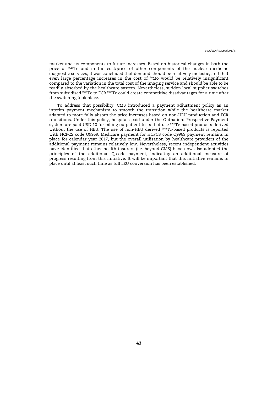market and its components to future increases. Based on historical changes in both the price of <sup>99m</sup>Tc and in the cost/price of other components of the nuclear medicine diagnostic services, it was concluded that demand should be relatively inelastic, and that even large percentage increases in the cost of <sup>99</sup>Mo would be relatively insignificant compared to the variation in the total cost of the imaging service and should be able to be readily absorbed by the healthcare system. Nevertheless, sudden local supplier switches from subsidised 99mTc to FCR 99mTc could create competitive disadvantages for a time after the switching took place.

To address that possibility, CMS introduced a payment adjustment policy as an interim payment mechanism to smooth the transition while the healthcare market adapted to more fully absorb the price increases based on non-HEU production and FCR transitions. Under this policy, hospitals paid under the Outpatient Prospective Payment system are paid USD 10 for billing outpatient tests that use  $^{59m}$ Tc-based products derived without the use of HEU. The use of non-HEU derived <sup>99m</sup>Tc-based products is reported with HCPCS code Q9969. Medicare payment for HCPCS code Q9969 payment remains in place for calendar year 2017, but the overall utilisation by healthcare providers of the additional payment remains relatively low. Nevertheless, recent independent activities have identified that other health insurers (i.e. beyond CMS) have now also adopted the principles of the additional Q-code payment, indicating an additional measure of progress resulting from this initiative. It will be important that this initiative remains in place until at least such time as full LEU conversion has been established.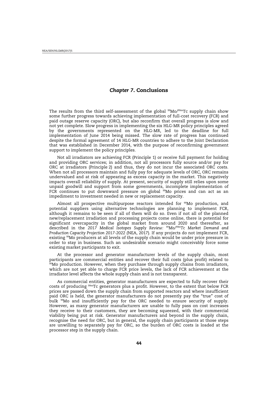# *Chapter 7***. Conclusions**

<span id="page-42-0"></span>The results from the third self-assessment of the global  $^{99}$ Mo/ $^{99m}$ Tc supply chain show some further progress towards achieving implementation of full-cost recovery (FCR) and paid outage reserve capacity (ORC), but also reconfirm that overall progress is slow and not yet complete. Slow progress in implementing the six HLG-MR policy principles agreed by the governments represented on the HLG-MR, led to the deadline for full implementation of June 2014 being missed. The slow rate of progress has continued despite the formal agreement of 14 HLG-MR countries to adhere to the Joint Declaration that was established in December 2014, with the purpose of reconfirming government support to implement the policy principles.

Not all irradiators are achieving FCR (Principle 1) or receive full payment for holding and providing ORC services; in addition, not all processors fully source and/or pay for ORC at irradiators (Principle 2) and thus, they do not incur the associated ORC costs. When not all processors maintain and fully pay for adequate levels of ORC, ORC remains undervalued and at risk of appearing as excess capacity in the market. This negatively impacts overall reliability of supply. At present, security of supply still relies upon some unpaid goodwill and support from some governments, incomplete implementation of FCR continues to put downward pressure on global <sup>99</sup>Mo prices and can act as an impediment to investment needed in new or replacement capacity.

Almost all prospective multipurpose reactors intended for 99Mo production, and potential suppliers using alternative technologies are planning to implement FCR, although it remains to be seen if all of them will do so. Even if not all of the planned new/replacement irradiation and processing projects come online, there is potential for significant overcapacity in the global market from around 2020 and thereafter, as described in the *2017 Medical Isotopes Supply Review: 99Mo/99mTc Market Demand and Production Capacity Projection 2017-2022 (*NEA, 2017). If any projects do not implement FCR, existing <sup>99</sup>Mo producers at all levels of the supply chain would be under price pressure in order to stay in business. Such an undesirable scenario might conceivably force some existing market participants to exit.

At the processor and generator manufacturer levels of the supply chain, most participants are commercial entities and recover their full costs (plus profit) related to 99Mo production. However, when they purchase through supply chains from irradiators, which are not yet able to charge FCR price levels, the lack of FCR achievement at the irradiator level affects the whole supply chain and is not transparent.

As commercial entities, generator manufacturers are expected to fully recover their costs of producing 99mTc generators plus a profit. However, to the extent that below FCR prices are passed down the supply chain from supported reactors and where insufficient paid ORC is held, the generator manufacturers do not presently pay the "true" cost of bulk 99Mo and insufficiently pay for the ORC needed to ensure security of supply. However, as many generator manufacturers are unable to fully pass on cost increases they receive to their customers, they are becoming squeezed, with their commercial viability being put at risk. Generator manufacturers and beyond in the supply chain, recognise the need for ORC, but in general, the supply chain participants at those steps are unwilling to separately pay for ORC, so the burden of ORC costs is loaded at the processor step in the supply chain.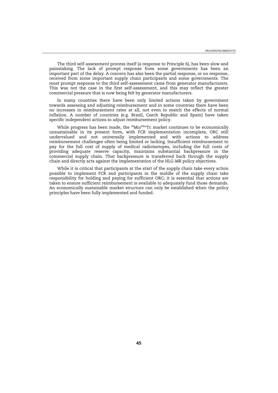The third self-assessment process itself (a response to Principle 6), has been slow and painstaking. The lack of prompt response from some governments has been an important part of the delay. A concern has also been the partial response, or no response, received from some important supply chain participants and some governments. The most prompt response to the third self-assessment came from generator manufacturers. This was not the case in the first self-assessment, and this may reflect the greater commercial pressure that is now being felt by generator manufacturers.

In many countries there have been only limited actions taken by government towards assessing and adjusting reimbursement and in some countries there have been no increases in reimbursement rates at all, not even to match the effects of normal inflation. A number of countries (e.g. Brazil, Czech Republic and Spain) have taken specific independent actions to adjust reimbursement policy.

While progress has been made, the <sup>99</sup>Mo/<sup>99m</sup>Tc market continues to be economically unsustainable in its present form, with FCR implementation incomplete, ORC still undervalued and not universally implemented and with actions to address reimbursement challenges often being limited or lacking. Insufficient reimbursement to pay for the full cost of supply of medical radioisotopes, including the full costs of providing adequate reserve capacity, maintains substantial backpressure in the commercial supply chain. That backpressure is transferred back through the supply chain and directly acts against the implementation of the HLG-MR policy objectives.

While it is critical that participants at the start of the supply chain take every action possible to implement FCR and participants in the middle of the supply chain take responsibility for holding and paying for sufficient ORC; it is essential that actions are taken to ensure sufficient reimbursement is available to adequately fund those demands. An economically sustainable market structure can only be established when the policy principles have been fully implemented and funded.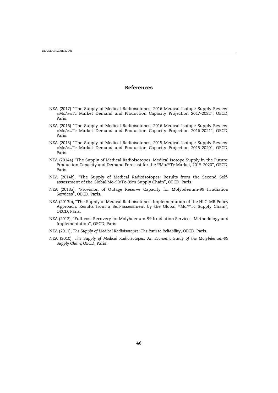# **References**

- <span id="page-44-0"></span>NEA (2017) "The Supply of Medical Radioisotopes: 2016 Medical Isotope Supply Review: 99Mo/99mTc Market Demand and Production Capacity Projection 2017-2022", OECD, Paris.
- NEA (2016) "The Supply of Medical Radioisotopes: 2016 Medical Isotope Supply Review: 99Mo/99mTc Market Demand and Production Capacity Projection 2016-2021", OECD, Paris.
- NEA (2015) "The Supply of Medical Radioisotopes: 2015 Medical Isotope Supply Review: 99Mo/99mTc Market Demand and Production Capacity Projection 2015-2020", OECD, Paris.
- NEA (2014a) "The Supply of Medical Radioisotopes: Medical Isotope Supply in the Future: Production Capacity and Demand Forecast for the <sup>99</sup>Mo/<sup>99</sup>Tc Market, 2015-2020", OECD, Paris.
- NEA (2014b), "The Supply of Medical Radioisotopes: Results from the Second Selfassessment of the Global Mo-99/Tc-99m Supply Chain", OECD, Paris.
- NEA (2013a), "Provision of Outage Reserve Capacity for Molybdenum-99 Irradiation Services", OECD, Paris.
- NEA (2013b), "The Supply of Medical Radioisotopes: Implementation of the HLG-MR Policy Approach: Results from a Self-assessment by the Global <sup>99</sup>Mo/<sup>99</sup>Tc Supply Chain", OECD, Paris.
- NEA (2012), "Full-cost Recovery for Molybdenum-99 Irradiation Services: Methodology and Implementation", OECD, Paris.
- NEA (2011), *The Supply of Medical Radioisotopes: The Path to Reliability*, OECD, Paris.
- NEA (2010), *The Supply of Medical Radioisotopes: An Economic Study of the Molybdenum-99 Supply Chain*, OECD, Paris.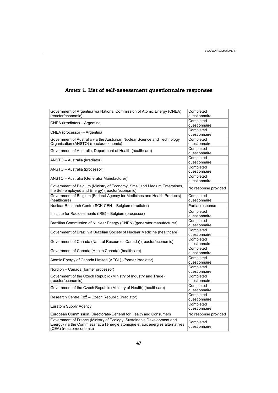| Government of Argentina via National Commission of Atomic Energy (CNEA)        | Completed            |
|--------------------------------------------------------------------------------|----------------------|
| (reactor/economic)                                                             | questionnaire        |
| CNEA (irradiator) - Argentina                                                  | Completed            |
|                                                                                | questionnaire        |
| CNEA (processor) - Argentina                                                   | Completed            |
|                                                                                | questionnaire        |
| Government of Australia via the Australian Nuclear Science and Technology      | Completed            |
| Organisation (ANSTO) (reactor/economic)                                        | questionnaire        |
|                                                                                | Completed            |
| Government of Australia, Department of Health (healthcare)                     | questionnaire        |
|                                                                                | Completed            |
| ANSTO - Australia (irradiator)                                                 | questionnaire        |
|                                                                                | Completed            |
| ANSTO - Australia (processor)                                                  | questionnaire        |
|                                                                                | Completed            |
| ANSTO - Australia (Generator Manufacturer)                                     | questionnaire        |
| Government of Belgium (Ministry of Economy, Small and Medium Enterprises,      |                      |
|                                                                                | No response provided |
| the Self-employed and Energy) (reactor/economic)                               |                      |
| Government of Belgium (Federal Agency for Medicines and Health Products)       | Completed            |
| (healthcare)                                                                   | questionnaire        |
| Nuclear Research Centre SCK-CEN - Belgium (irradiator)                         | Partial response     |
| Institute for Radioelements (IRE) - Belgium (processor)                        | Completed            |
|                                                                                | questionnaire        |
|                                                                                | Completed            |
| Brazilian Commission of Nuclear Energy (CNEN) (generator manufacturer)         | questionnaire        |
| Government of Brazil via Brazilian Society of Nuclear Medicine (healthcare)    | Completed            |
|                                                                                | questionnaire        |
|                                                                                | Completed            |
| Government of Canada (Natural Resources Canada) (reactor/economic)             | questionnaire        |
|                                                                                | Completed            |
| Government of Canada (Health Canada) (healthcare)                              | questionnaire        |
|                                                                                | Completed            |
| Atomic Energy of Canada Limited (AECL), (former irradiator)                    | questionnaire        |
|                                                                                | Completed            |
| Nordion - Canada (former processor)                                            | questionnaire        |
| Government of the Czech Republic (Ministry of Industry and Trade)              | Completed            |
| (reactor/economic)                                                             | questionnaire        |
|                                                                                | Completed            |
| Government of the Czech Republic (Ministry of Health) (healthcare)             | questionnaire        |
|                                                                                |                      |
| Research Centre Řež – Czech Republic (irradiator)                              | Completed            |
|                                                                                | questionnaire        |
| Euratom Supply Agency                                                          | Completed            |
|                                                                                | questionnaire        |
| European Commission, Directorate-General for Health and Consumers              | No response provided |
| Government of France (Ministry of Ecology, Sustainable Development and         | Completed            |
| Energy) via the Commissariat à l'énergie atomique et aux énergies alternatives | questionnaire        |
| (CEA) (reactor/economic)                                                       |                      |

# <span id="page-45-0"></span>*Annex 1.* **List of self-assessment questionnaire responses**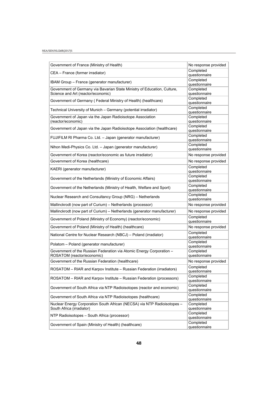#### NEA/SEN/HLGMR(2017)5

| Government of France (Ministry of Health)                                                             | No response provided       |
|-------------------------------------------------------------------------------------------------------|----------------------------|
| CEA - France (former irradiator)                                                                      | Completed<br>questionnaire |
| IBAM Group - France (generator manufacturer)                                                          | Completed                  |
| Government of Germany via Bavarian State Ministry of Education, Culture,                              | questionnaire<br>Completed |
| Science and Art (reactor/economic)                                                                    | questionnaire              |
| Government of Germany (Federal Ministry of Health) (healthcare)                                       | Completed<br>questionnaire |
| Technical University of Munich - Germany (potential irradiator)                                       | Completed<br>questionnaire |
| Government of Japan via the Japan Radioisotope Association<br>(reactor/economic)                      | Completed<br>questionnaire |
| Government of Japan via the Japan Radioisotope Association (healthcare)                               | Completed<br>questionnaire |
| FUJIFILM RI Pharma Co. Ltd. - Japan (generator manufacturer)                                          | Completed<br>questionnaire |
| Nihon Medi-Physics Co. Ltd. - Japan (generator manufacturer)                                          | Completed<br>questionnaire |
| Government of Korea (reactor/economic as future irradiator)                                           | No response provided       |
| Government of Korea (healthcare)                                                                      | No response provided       |
| KAERI (generator manufacturer)                                                                        | Completed<br>questionnaire |
| Government of the Netherlands (Ministry of Economic Affairs)                                          | Completed<br>questionnaire |
| Government of the Netherlands (Ministry of Health, Welfare and Sport)                                 | Completed<br>questionnaire |
| Nuclear Research and Consultancy Group (NRG) - Netherlands                                            | Completed<br>questionnaire |
| Mallinckrodt (now part of Curium) - Netherlands (processor)                                           | No response provided       |
| Mallinckrodt (now part of Curium) - Netherlands (generator manufacturer)                              | No response provided       |
| Government of Poland (Ministry of Economy) (reactor/economic)                                         | Completed<br>questionnaire |
| Government of Poland (Ministry of Health) (healthcare)                                                | No response provided       |
| National Centre for Nuclear Research (NBCJ) - Poland (irradiator)                                     | Completed<br>questionnaire |
| Polatom - Poland (generator manufacturer)                                                             | Completed<br>questionnaire |
| Government of the Russian Federation via Atomic Energy Corporation -<br>ROSATOM (reactor/economic)    | Completed<br>questionnaire |
| Government of the Russian Federation (healthcare)                                                     | No response provided       |
| ROSATOM - RIAR and Karpov Institute - Russian Federation (irradiators)                                | Completed<br>questionnaire |
| ROSATOM – RIAR and Karpov Institute – Russian Federation (processors)                                 | Completed<br>questionnaire |
| Government of South Africa via NTP Radioisotopes (reactor and economic)                               | Completed<br>questionnaire |
| Government of South Africa via NTP Radioisotopes (healthcare)                                         | Completed<br>questionnaire |
| Nuclear Energy Corporation South African (NECSA) via NTP Radioisotopes -<br>South Africa (irradiator) | Completed<br>questionnaire |
| NTP Radioisotopes - South Africa (processor)                                                          | Completed<br>questionnaire |
| Government of Spain (Ministry of Health) (healthcare)                                                 | Completed<br>questionnaire |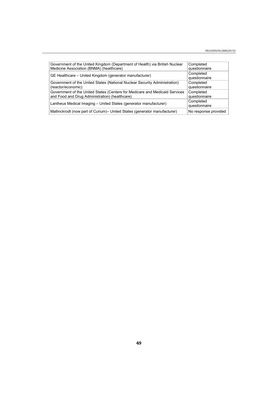| Government of the United Kingdom (Department of Health) via British Nuclear<br>Medicine Association (BNMA) (healthcare)       | Completed<br>questionnaire |
|-------------------------------------------------------------------------------------------------------------------------------|----------------------------|
| GE Healthcare – United Kingdom (generator manufacturer)                                                                       | Completed<br>questionnaire |
| Government of the United States (National Nuclear Security Administration)<br>(reactor/economic)                              | Completed<br>questionnaire |
| Government of the United States (Centers for Medicare and Medicaid Services<br>and Food and Drug Administration) (healthcare) | Completed<br>questionnaire |
| Lantheus Medical Imaging - United States (generator manufacturer)                                                             | Completed<br>questionnaire |
| Mallinckrodt (now part of Curium) – United States (generator manufacturer)                                                    | No response provided       |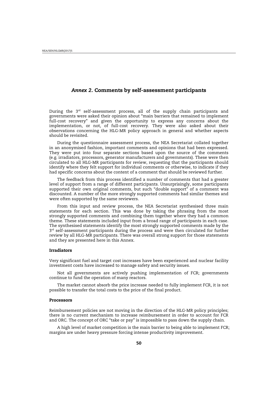# <span id="page-48-0"></span>*Annex 2.* **Comments by self-assessment participants**

During the  $3^{rd}$  self-assessment process, all of the supply chain participants and governments were asked their opinion about "main barriers that remained to implement full-cost recovery" and given the opportunity to express any concerns about the implementation, or not, of full-cost recovery. They were also asked about their observations concerning the HLG-MR policy approach in general and whether aspects should be revisited.

During the questionnaire assessment process, the NEA Secretariat collated together in an anonymised fashion, important comments and opinions that had been expressed. They were put into four separate sections based upon the source of the comments (e.g. irradiators, processors, generator manufacturers and governments). These were then circulated to all HLG-MR participants for review, requesting that the participants should identify where they felt support for individual comments or otherwise, to indicate if they had specific concerns about the content of a comment that should be reviewed further.

The feedback from this process identified a number of comments that had a greater level of support from a range of different participants. Unsurprisingly, some participants supported their own original comments, but such "double support" of a comment was discounted. A number of the more strongly supported comments had similar themes and were often supported by the same reviewers.

From this input and review process, the NEA Secretariat synthesised three main statements for each section. This was done by taking the phrasing from the most strongly supported comments and combining them together where they had a common theme. These statements included input from a broad range of participants in each case. The synthesised statements identify the most strongly supported comments made by the  $3<sup>rd</sup>$  self-assessment participants during the process and were then circulated for further review by all HLG-MR participants. There was overall strong support for those statements and they are presented here in this Annex.

#### **Irradiators**

Very significant fuel and target cost increases have been experienced and nuclear facility investment costs have increased to manage safety and security issues.

Not all governments are actively pushing implementation of FCR; governments continue to fund the operation of many reactors.

The market cannot absorb the price increase needed to fully implement FCR, it is not possible to transfer the total costs to the price of the final product.

#### **Processors**

Reimbursement policies are not moving in the direction of the HLG-MR policy principles; there is no current mechanism to increase reimbursement in order to account for FCR and ORC. The concept of ORC "take or pay" is impossible to pass down the supply chain.

A high level of market competition is the main barrier to being able to implement FCR; margins are under heavy pressure forcing intense productivity improvement.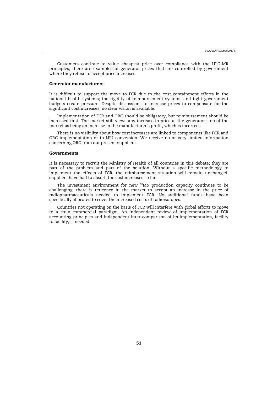<span id="page-49-0"></span>Customers continue to value cheapest price over compliance with the HLG-MR principles; there are examples of generator prices that are controlled by government where they refuse to accept price increases.

## **Generator manufacturers**

It is difficult to support the move to FCR due to the cost containment efforts in the national health systems; the rigidity of reimbursement systems and tight government budgets create pressure. Despite discussions to increase prices to compensate for the significant cost increases, no clear vision is available.

Implementation of FCR and ORC should be obligatory, but reimbursement should be increased first. The market still views any increase in price at the generator step of the market as being an increase in the manufacturer's profit, which is incorrect.

There is no visibility about how cost increases are linked to components like FCR and ORC implementation or to LEU conversion. We receive no or very limited information concerning ORC from our present suppliers.

#### **Governments**

It is necessary to recruit the Ministry of Health of all countries in this debate; they are part of the problem and part of the solution. Without a specific methodology to implement the effects of FCR, the reimbursement situation will remain unchanged; suppliers have had to absorb the cost increases so far.

The investment environment for new  $^{99}$ Mo production capacity continues to be challenging, there is reticence in the market to accept an increase in the price of radiopharmaceuticals needed to implement FCR. No additional funds have been specifically allocated to cover the increased costs of radioisotopes.

Countries not operating on the basis of FCR will interfere with global efforts to move to a truly commercial paradigm. An independent review of implementation of FCR accounting principles and independent inter-comparison of its implementation, facility to facility, is needed.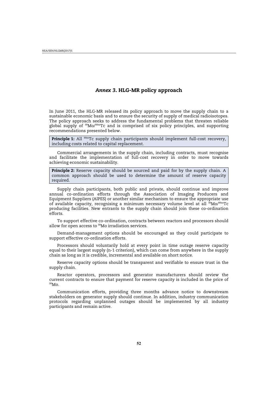# *Annex 3***. HLG-MR policy approach**

<span id="page-50-0"></span>In June 2011, the HLG-MR released its policy approach to move the supply chain to a sustainable economic basis and to ensure the security of supply of medical radioisotopes. The policy approach seeks to address the fundamental problems that threaten reliable global supply of 99Mo/99mTc and is comprised of six policy principles, and supporting recommendations presented below.

**Principle 1:** All <sup>99m</sup>Tc supply chain participants should implement full-cost recovery, including costs related to capital replacement.

Commercial arrangements in the supply chain, including contracts, must recognise and facilitate the implementation of full-cost recovery in order to move towards achieving economic sustainability.

**Principle 2:** Reserve capacity should be sourced and paid for by the supply chain. A common approach should be used to determine the amount of reserve capacity required.

Supply chain participants, both public and private, should continue and improve annual co-ordination efforts through the Association of Imaging Producers and Equipment Suppliers (AIPES) or another similar mechanism to ensure the appropriate use of available capacity, recognising a minimum necessary volume level at all <sup>59</sup>Mo/<sup>99mT</sup>c producing facilities. New entrants to the supply chain should join these co-ordination efforts.

To support effective co-ordination, contracts between reactors and processors should allow for open access to <sup>99</sup>Mo irradiation services.

Demand-management options should be encouraged as they could participate to support effective co-ordination efforts.

Processors should voluntarily hold at every point in time outage reserve capacity equal to their largest supply (n-1 criterion), which can come from anywhere in the supply chain as long as it is credible, incremental and available on short notice.

Reserve capacity options should be transparent and verifiable to ensure trust in the supply chain.

Reactor operators, processors and generator manufacturers should review the current contracts to ensure that payment for reserve capacity is included in the price of 99Mo.

Communication efforts, providing three months advance notice to downstream stakeholders on generator supply should continue. In addition, industry communication protocols regarding unplanned outages should be implemented by all industry participants and remain active.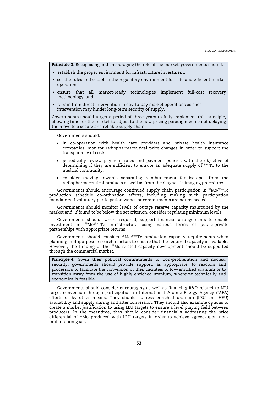**Principle 3:** Recognising and encouraging the role of the market, governments should:

- establish the proper environment for infrastructure investment;
- set the rules and establish the regulatory environment for safe and efficient market operation;
- ensure that all market-ready technologies implement full-cost recovery methodology; and
- refrain from direct intervention in day-to-day market operations as such intervention may hinder long-term security of supply.

Governments should target a period of three years to fully implement this principle, allowing time for the market to adjust to the new pricing paradigm while not delaying the move to a secure and reliable supply chain.

Governments should:

- in co-operation with health care providers and private health insurance companies, monitor radiopharmaceutical price changes in order to support the transparency of costs;
- periodically review payment rates and payment policies with the objective of determining if they are sufficient to ensure an adequate supply of <sup>99m</sup>Tc to the medical community;
- x consider moving towards separating reimbursement for isotopes from the radiopharmaceutical products as well as from the diagnostic imaging procedures.

Governments should encourage continued supply chain participation in  $99Mo/99mTc$ production schedule co-ordination efforts, including making such participation mandatory if voluntary participation wanes or commitments are not respected.

Governments should monitor levels of outage reserve capacity maintained by the market and, if found to be below the set criterion, consider regulating minimum levels.

Governments should, where required, support financial arrangements to enable investment in 99Mo/99mTc infrastructure using various forms of public-private partnerships with appropriate returns.

Governments should consider <sup>99</sup>Mo/<sup>99m</sup>Tc production capacity requirements when planning multipurpose research reactors to ensure that the required capacity is available. However, the funding of the 99Mo-related capacity development should be supported through the commercial market.

**Principle 4:** Given their political commitments to non-proliferation and nuclear security, governments should provide support, as appropriate, to reactors and processors to facilitate the conversion of their facilities to low-enriched uranium or to transition away from the use of highly enriched uranium, wherever technically and economically feasible.

Governments should consider encouraging as well as financing R&D related to LEU target conversion through participation in International Atomic Energy Agency (IAEA) efforts or by other means. They should address enriched uranium (LEU and HEU) availability and supply during and after conversion. They should also examine options to create a market justification to using LEU targets to ensure a level playing field between producers. In the meantime, they should consider financially addressing the price differential of 99Mo produced with LEU targets in order to achieve agreed-upon nonproliferation goals.